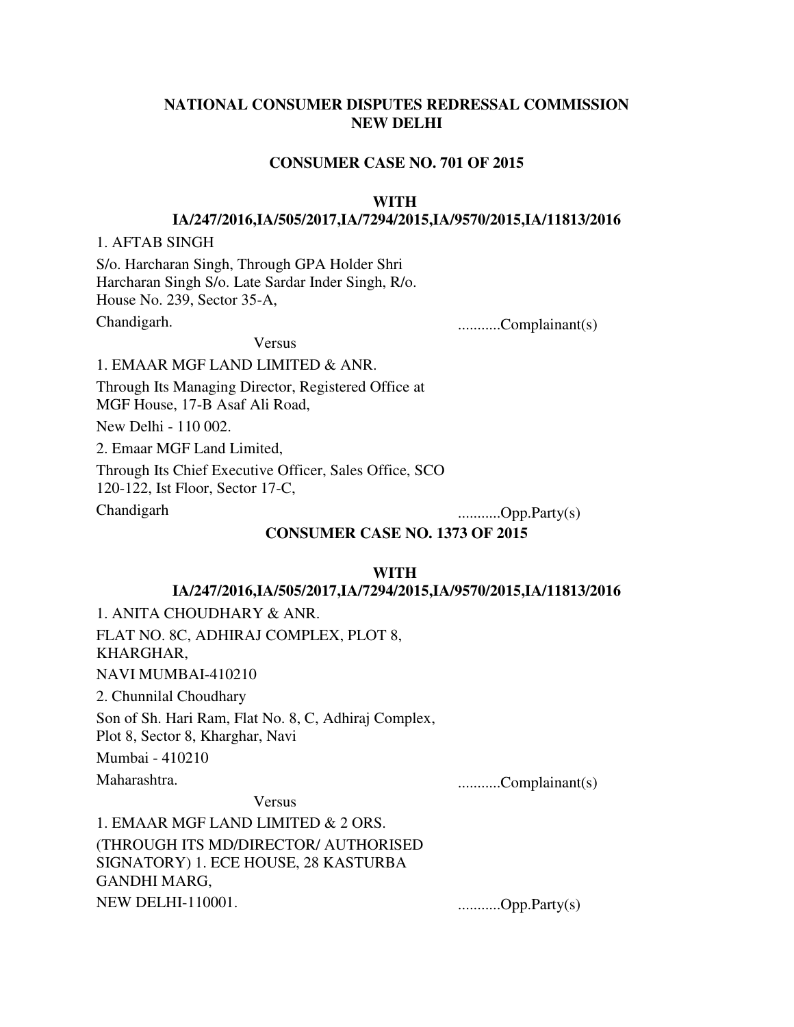# **NATIONAL CONSUMER DISPUTES REDRESSAL COMMISSION NEW DELHI**

#### **CONSUMER CASE NO. 701 OF 2015**

#### **WITH**

#### **IA/247/2016,IA/505/2017,IA/7294/2015,IA/9570/2015,IA/11813/2016**

#### 1. AFTAB SINGH

S/o. Harcharan Singh, Through GPA Holder Shri Harcharan Singh S/o. Late Sardar Inder Singh, R/o. House No. 239, Sector 35-A,

Chandigarh. ...........Complainant(s)

Versus

1. EMAAR MGF LAND LIMITED & ANR.

Through Its Managing Director, Registered Office at MGF House, 17-B Asaf Ali Road,

New Delhi - 110 002.

2. Emaar MGF Land Limited,

Through Its Chief Executive Officer, Sales Office, SCO

120-122, Ist Floor, Sector 17-C,

Chandigarh ...........Opp.Party(s)

#### **CONSUMER CASE NO. 1373 OF 2015**

#### **WITH**

#### **IA/247/2016,IA/505/2017,IA/7294/2015,IA/9570/2015,IA/11813/2016**

1. ANITA CHOUDHARY & ANR. FLAT NO. 8C, ADHIRAJ COMPLEX, PLOT 8, KHARGHAR, NAVI MUMBAI-410210 2. Chunnilal Choudhary

Son of Sh. Hari Ram, Flat No. 8, C, Adhiraj Complex, Plot 8, Sector 8, Kharghar, Navi

Mumbai - 410210

Maharashtra. ...........Complainant(s)

Versus

1. EMAAR MGF LAND LIMITED & 2 ORS. (THROUGH ITS MD/DIRECTOR/ AUTHORISED SIGNATORY) 1. ECE HOUSE, 28 KASTURBA GANDHI MARG, NEW DELHI-110001. ...........Opp.Party(s)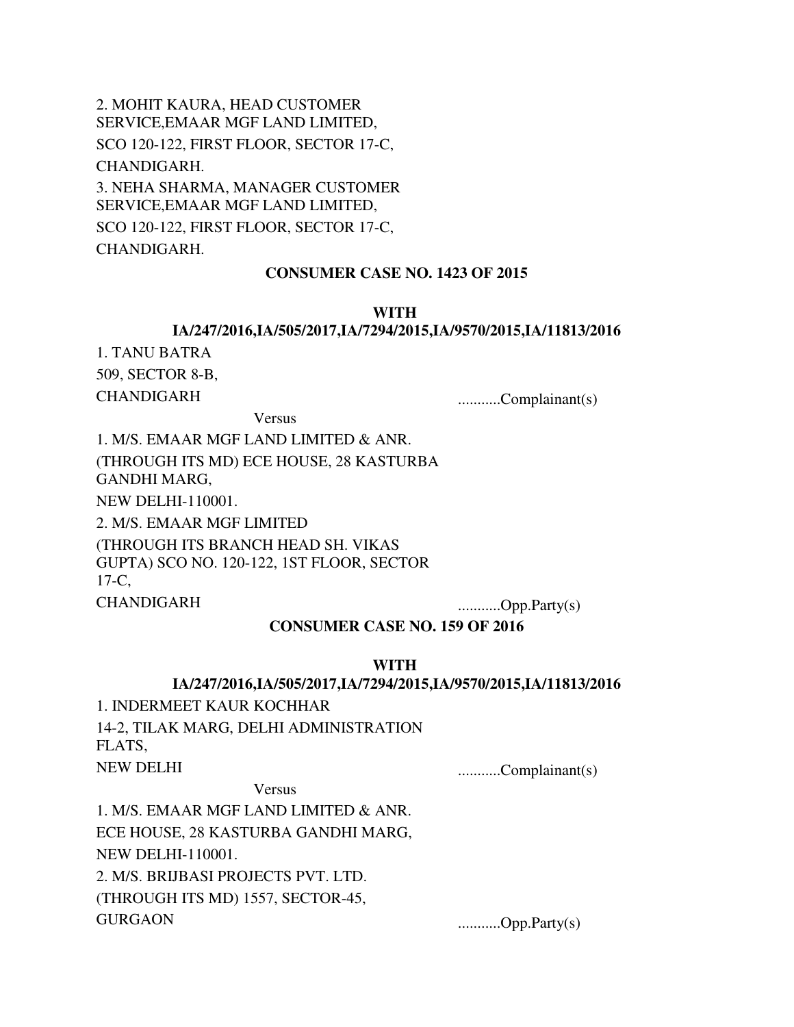2. MOHIT KAURA, HEAD CUSTOMER SERVICE,EMAAR MGF LAND LIMITED, SCO 120-122, FIRST FLOOR, SECTOR 17-C, CHANDIGARH. 3. NEHA SHARMA, MANAGER CUSTOMER SERVICE,EMAAR MGF LAND LIMITED, SCO 120-122, FIRST FLOOR, SECTOR 17-C, CHANDIGARH.

#### **CONSUMER CASE NO. 1423 OF 2015**

### **WITH**

### **IA/247/2016,IA/505/2017,IA/7294/2015,IA/9570/2015,IA/11813/2016**

1. TANU BATRA 509, SECTOR 8-B,

CHANDIGARH ...........Complainant(s)

Versus

1. M/S. EMAAR MGF LAND LIMITED & ANR. (THROUGH ITS MD) ECE HOUSE, 28 KASTURBA GANDHI MARG, NEW DELHI-110001.

2. M/S. EMAAR MGF LIMITED

(THROUGH ITS BRANCH HEAD SH. VIKAS GUPTA) SCO NO. 120-122, 1ST FLOOR, SECTOR 17-C,

CHANDIGARH ...........Opp.Party(s)

**CONSUMER CASE NO. 159 OF 2016**

#### **WITH**

#### **IA/247/2016,IA/505/2017,IA/7294/2015,IA/9570/2015,IA/11813/2016**

1. INDERMEET KAUR KOCHHAR 14-2, TILAK MARG, DELHI ADMINISTRATION FLATS,

NEW DELHI ...........Complainant(s)

Versus

1. M/S. EMAAR MGF LAND LIMITED & ANR. ECE HOUSE, 28 KASTURBA GANDHI MARG, NEW DELHI-110001. 2. M/S. BRIJBASI PROJECTS PVT. LTD. (THROUGH ITS MD) 1557, SECTOR-45, GURGAON ............Opp.Party(s)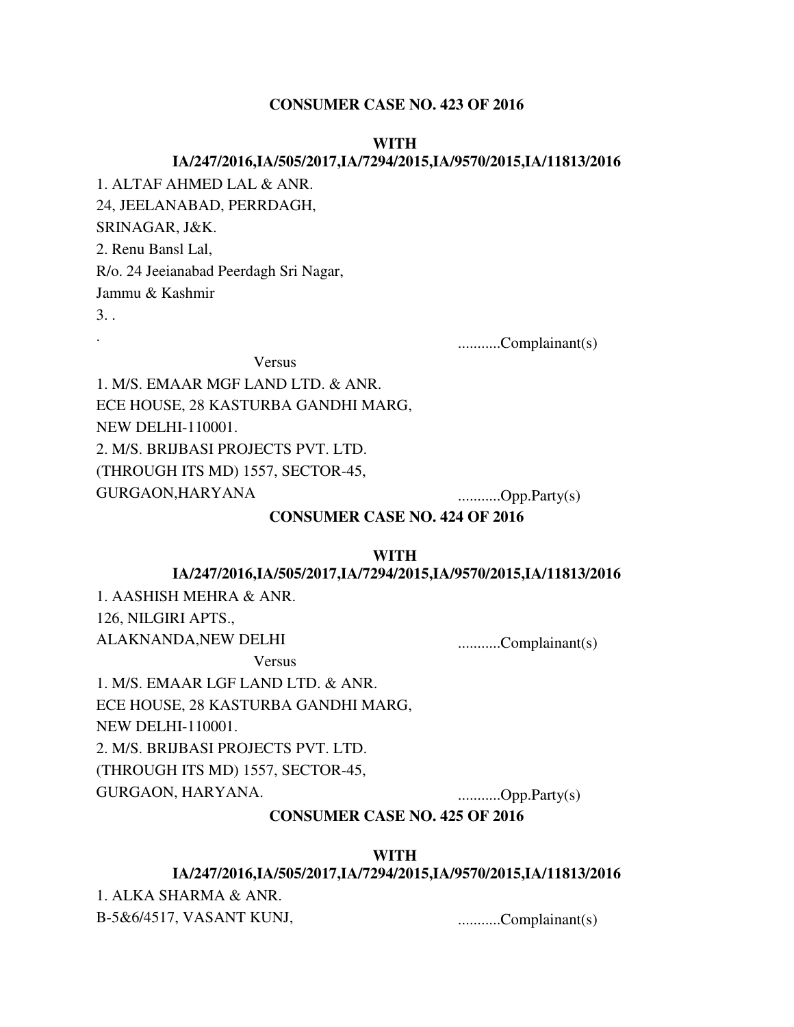#### **CONSUMER CASE NO. 423 OF 2016**

#### **WITH**

#### **IA/247/2016,IA/505/2017,IA/7294/2015,IA/9570/2015,IA/11813/2016**

1. ALTAF AHMED LAL & ANR.

24, JEELANABAD, PERRDAGH,

SRINAGAR, J&K.

2. Renu Bansl Lal,

R/o. 24 Jeeianabad Peerdagh Sri Nagar,

Jammu & Kashmir

 $3.$ 

. ...........Complainant(s)

Versus 1. M/S. EMAAR MGF LAND LTD. & ANR.

ECE HOUSE, 28 KASTURBA GANDHI MARG,

NEW DELHI-110001.

2. M/S. BRIJBASI PROJECTS PVT. LTD.

(THROUGH ITS MD) 1557, SECTOR-45,

GURGAON,HARYANA ............Opp.Party(s)

### **CONSUMER CASE NO. 424 OF 2016**

#### **WITH**

#### **IA/247/2016,IA/505/2017,IA/7294/2015,IA/9570/2015,IA/11813/2016**

1. AASHISH MEHRA & ANR. 126, NILGIRI APTS.,

ALAKNANDA,NEW DELHI ...........Complainant(s)

Versus

1. M/S. EMAAR LGF LAND LTD. & ANR. ECE HOUSE, 28 KASTURBA GANDHI MARG, NEW DELHI-110001. 2. M/S. BRIJBASI PROJECTS PVT. LTD. (THROUGH ITS MD) 1557, SECTOR-45, GURGAON, HARYANA. ...........Opp.Party(s)

# **CONSUMER CASE NO. 425 OF 2016**

# **WITH**

# **IA/247/2016,IA/505/2017,IA/7294/2015,IA/9570/2015,IA/11813/2016**

1. ALKA SHARMA & ANR. B-5&6/4517, VASANT KUNJ, ............Complainant(s)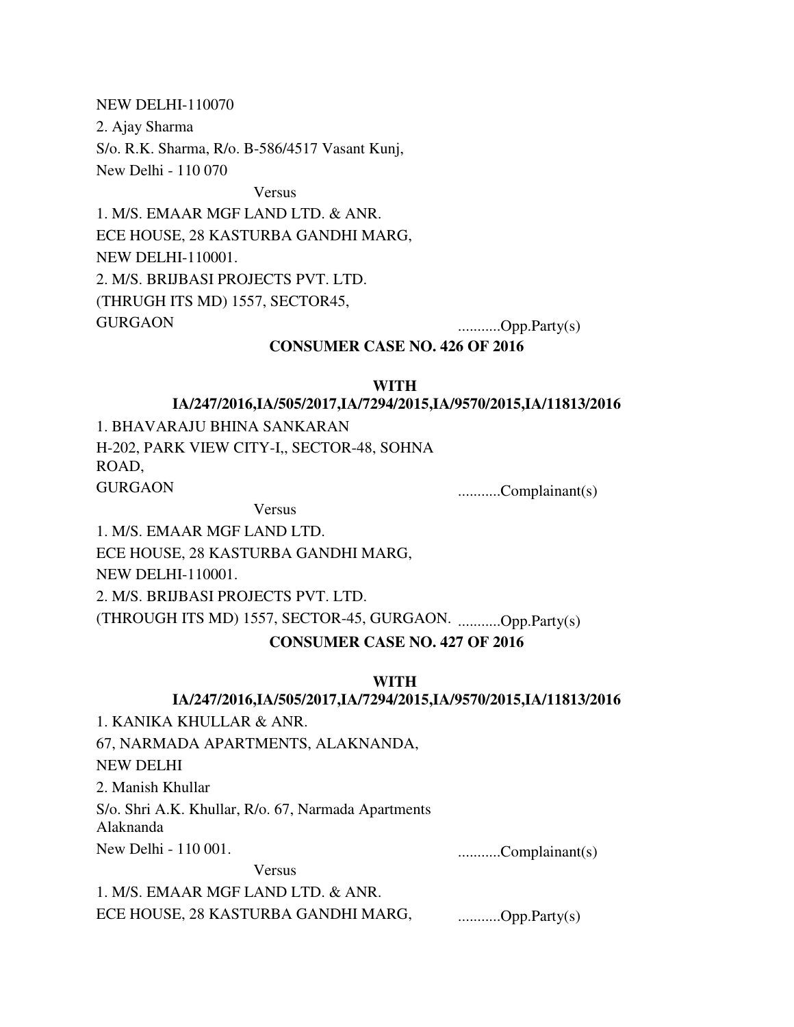NEW DELHI-110070

2. Ajay Sharma

S/o. R.K. Sharma, R/o. B-586/4517 Vasant Kunj,

New Delhi - 110 070

Versus

1. M/S. EMAAR MGF LAND LTD. & ANR. ECE HOUSE, 28 KASTURBA GANDHI MARG, NEW DELHI-110001. 2. M/S. BRIJBASI PROJECTS PVT. LTD. (THRUGH ITS MD) 1557, SECTOR45, GURGAON ............Opp.Party(s)

### **CONSUMER CASE NO. 426 OF 2016**

#### **WITH**

### **IA/247/2016,IA/505/2017,IA/7294/2015,IA/9570/2015,IA/11813/2016**

1. BHAVARAJU BHINA SANKARAN H-202, PARK VIEW CITY-I,, SECTOR-48, SOHNA ROAD, GURGAON ...........Complainant(s)

Versus

1. M/S. EMAAR MGF LAND LTD. ECE HOUSE, 28 KASTURBA GANDHI MARG, NEW DELHI-110001. 2. M/S. BRIJBASI PROJECTS PVT. LTD. (THROUGH ITS MD) 1557, SECTOR-45, GURGAON. ...........Opp.Party(s)

# **CONSUMER CASE NO. 427 OF 2016**

### **WITH**

### **IA/247/2016,IA/505/2017,IA/7294/2015,IA/9570/2015,IA/11813/2016**

1. KANIKA KHULLAR & ANR.

67, NARMADA APARTMENTS, ALAKNANDA, NEW DELHI

2. Manish Khullar

S/o. Shri A.K. Khullar, R/o. 67, Narmada Apartments Alaknanda

Versus

New Delhi - 110 001. ...........Complainant(s)

1. M/S. EMAAR MGF LAND LTD. & ANR. ECE HOUSE, 28 KASTURBA GANDHI MARG, ............Opp.Party(s)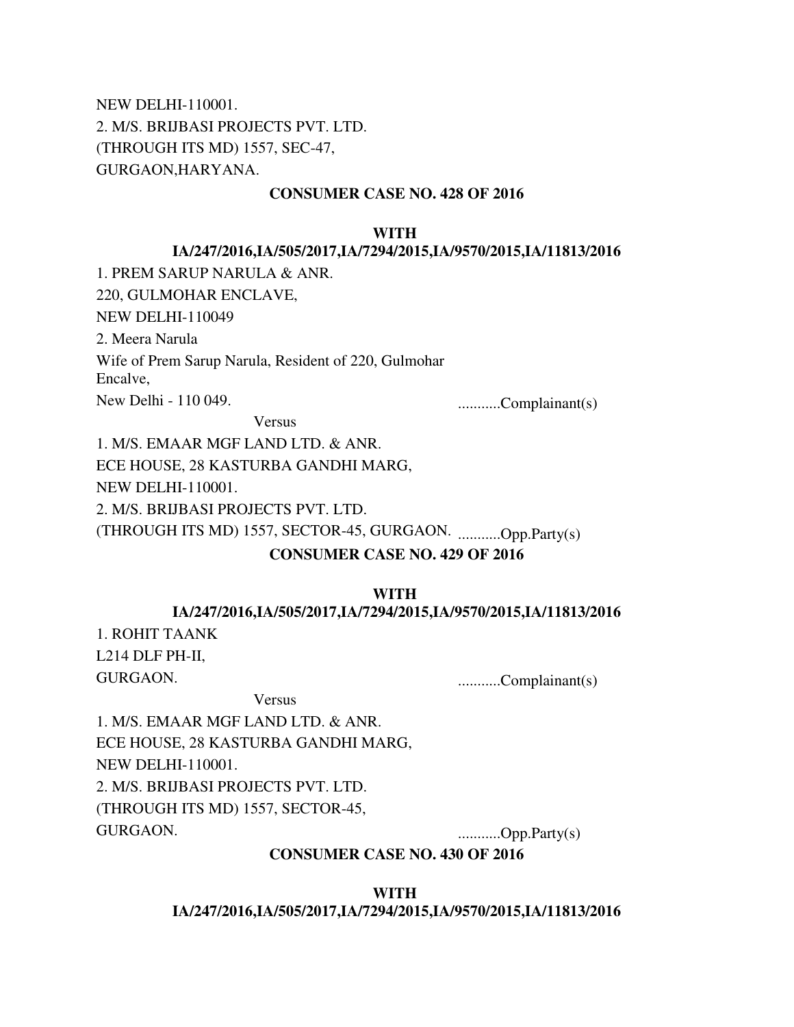NEW DELHI-110001. 2. M/S. BRIJBASI PROJECTS PVT. LTD. (THROUGH ITS MD) 1557, SEC-47, GURGAON,HARYANA.

### **CONSUMER CASE NO. 428 OF 2016**

#### **WITH**

### **IA/247/2016,IA/505/2017,IA/7294/2015,IA/9570/2015,IA/11813/2016**

1. PREM SARUP NARULA & ANR.

220, GULMOHAR ENCLAVE,

NEW DELHI-110049

2. Meera Narula

Wife of Prem Sarup Narula, Resident of 220, Gulmohar

Encalve,

New Delhi - 110 049. ...........Complainant(s)

Versus

1. M/S. EMAAR MGF LAND LTD. & ANR. ECE HOUSE, 28 KASTURBA GANDHI MARG, NEW DELHI-110001.

2. M/S. BRIJBASI PROJECTS PVT. LTD.

(THROUGH ITS MD) 1557, SECTOR-45, GURGAON. ...........Opp.Party(s)

### **CONSUMER CASE NO. 429 OF 2016**

#### **WITH**

#### **IA/247/2016,IA/505/2017,IA/7294/2015,IA/9570/2015,IA/11813/2016**

1. ROHIT TAANK L214 DLF PH-II,

GURGAON. ...........Complainant(s)

Versus

1. M/S. EMAAR MGF LAND LTD. & ANR. ECE HOUSE, 28 KASTURBA GANDHI MARG, NEW DELHI-110001. 2. M/S. BRIJBASI PROJECTS PVT. LTD. (THROUGH ITS MD) 1557, SECTOR-45, GURGAON. ...........Opp.Party(s)

### **CONSUMER CASE NO. 430 OF 2016**

**WITH** 

**IA/247/2016,IA/505/2017,IA/7294/2015,IA/9570/2015,IA/11813/2016**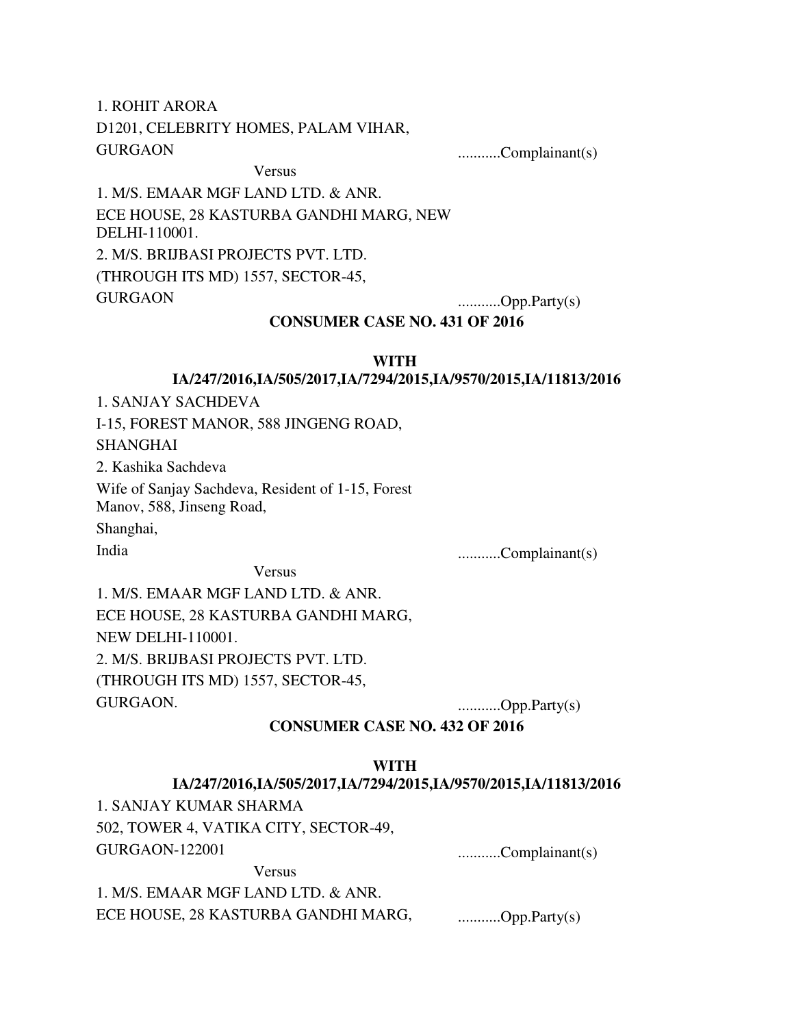1. ROHIT ARORA D1201, CELEBRITY HOMES, PALAM VIHAR, GURGAON ...........Complainant(s)

# Versus

1. M/S. EMAAR MGF LAND LTD. & ANR. ECE HOUSE, 28 KASTURBA GANDHI MARG, NEW DELHI-110001. 2. M/S. BRIJBASI PROJECTS PVT. LTD. (THROUGH ITS MD) 1557, SECTOR-45, GURGAON ............Opp.Party(s)

### **CONSUMER CASE NO. 431 OF 2016**

#### **WITH**

# **IA/247/2016,IA/505/2017,IA/7294/2015,IA/9570/2015,IA/11813/2016**

1. SANJAY SACHDEVA

I-15, FOREST MANOR, 588 JINGENG ROAD,

### SHANGHAI

2. Kashika Sachdeva

Wife of Sanjay Sachdeva, Resident of 1-15, Forest Manov, 588, Jinseng Road,

Shanghai,

Versus

India ...........Complainant(s)

1. M/S. EMAAR MGF LAND LTD. & ANR. ECE HOUSE, 28 KASTURBA GANDHI MARG, NEW DELHI-110001. 2. M/S. BRIJBASI PROJECTS PVT. LTD. (THROUGH ITS MD) 1557, SECTOR-45, GURGAON. ...........Opp.Party(s)

### **CONSUMER CASE NO. 432 OF 2016**

#### **WITH**

#### **IA/247/2016,IA/505/2017,IA/7294/2015,IA/9570/2015,IA/11813/2016**

1. SANJAY KUMAR SHARMA

502, TOWER 4, VATIKA CITY, SECTOR-49,

Versus

GURGAON-122001 ...........Complainant(s)

1. M/S. EMAAR MGF LAND LTD. & ANR. ECE HOUSE, 28 KASTURBA GANDHI MARG, ............Opp.Party(s)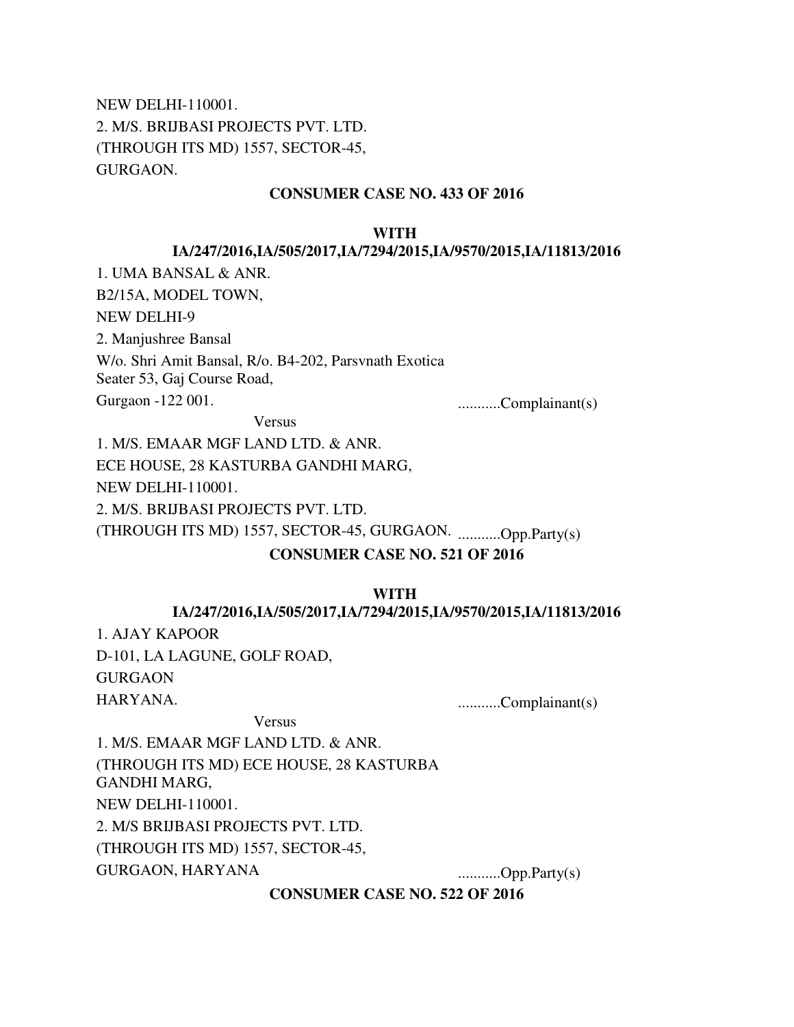NEW DELHI-110001. 2. M/S. BRIJBASI PROJECTS PVT. LTD. (THROUGH ITS MD) 1557, SECTOR-45, GURGAON.

## **CONSUMER CASE NO. 433 OF 2016**

#### **WITH**

#### **IA/247/2016,IA/505/2017,IA/7294/2015,IA/9570/2015,IA/11813/2016**

1. UMA BANSAL & ANR.

B2/15A, MODEL TOWN,

NEW DELHI-9

2. Manjushree Bansal

W/o. Shri Amit Bansal, R/o. B4-202, Parsvnath Exotica Seater 53, Gaj Course Road,

Gurgaon -122 001. ...........Complainant(s)

Versus

1. M/S. EMAAR MGF LAND LTD. & ANR. ECE HOUSE, 28 KASTURBA GANDHI MARG, NEW DELHI-110001. 2. M/S. BRIJBASI PROJECTS PVT. LTD.

(THROUGH ITS MD) 1557, SECTOR-45, GURGAON. ...........Opp.Party(s)

### **CONSUMER CASE NO. 521 OF 2016**

#### **WITH**

#### **IA/247/2016,IA/505/2017,IA/7294/2015,IA/9570/2015,IA/11813/2016**

1. AJAY KAPOOR D-101, LA LAGUNE, GOLF ROAD, **GURGAON** HARYANA. ...........Complainant(s)

Versus

1. M/S. EMAAR MGF LAND LTD. & ANR. (THROUGH ITS MD) ECE HOUSE, 28 KASTURBA GANDHI MARG, NEW DELHI-110001. 2. M/S BRIJBASI PROJECTS PVT. LTD. (THROUGH ITS MD) 1557, SECTOR-45, GURGAON, HARYANA ..............Opp.Party(s)

**CONSUMER CASE NO. 522 OF 2016**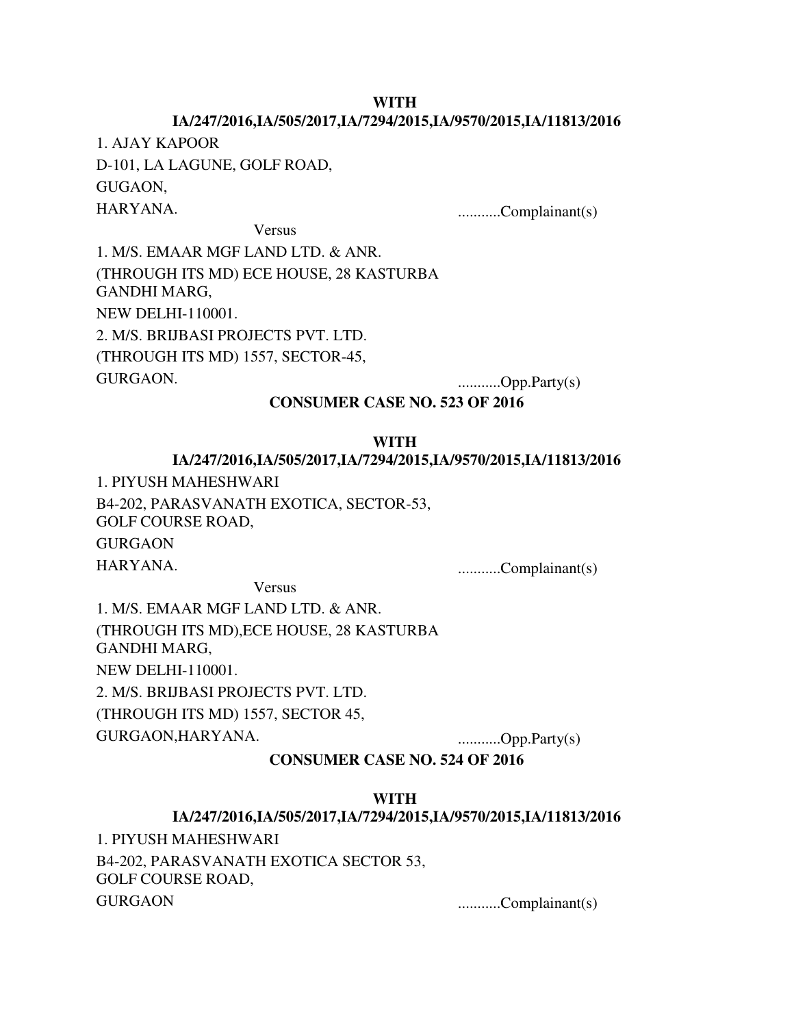### **WITH**

# **IA/247/2016,IA/505/2017,IA/7294/2015,IA/9570/2015,IA/11813/2016**

1. AJAY KAPOOR D-101, LA LAGUNE, GOLF ROAD, GUGAON, HARYANA. ...........Complainant(s)

Versus

1. M/S. EMAAR MGF LAND LTD. & ANR. (THROUGH ITS MD) ECE HOUSE, 28 KASTURBA GANDHI MARG, NEW DELHI-110001. 2. M/S. BRIJBASI PROJECTS PVT. LTD. (THROUGH ITS MD) 1557, SECTOR-45, GURGAON. ...........Opp.Party(s)

### **CONSUMER CASE NO. 523 OF 2016**

#### **WITH**

#### **IA/247/2016,IA/505/2017,IA/7294/2015,IA/9570/2015,IA/11813/2016**

1. PIYUSH MAHESHWARI

B4-202, PARASVANATH EXOTICA, SECTOR-53,

GOLF COURSE ROAD,

**GURGAON** 

HARYANA. ...........Complainant(s)

Versus

1. M/S. EMAAR MGF LAND LTD. & ANR. (THROUGH ITS MD),ECE HOUSE, 28 KASTURBA GANDHI MARG, NEW DELHI-110001. 2. M/S. BRIJBASI PROJECTS PVT. LTD. (THROUGH ITS MD) 1557, SECTOR 45, GURGAON,HARYANA. ...........Opp.Party(s)

### **CONSUMER CASE NO. 524 OF 2016**

#### **WITH**

#### **IA/247/2016,IA/505/2017,IA/7294/2015,IA/9570/2015,IA/11813/2016**

1. PIYUSH MAHESHWARI

B4-202, PARASVANATH EXOTICA SECTOR 53, GOLF COURSE ROAD, GURGAON ...........Complainant(s)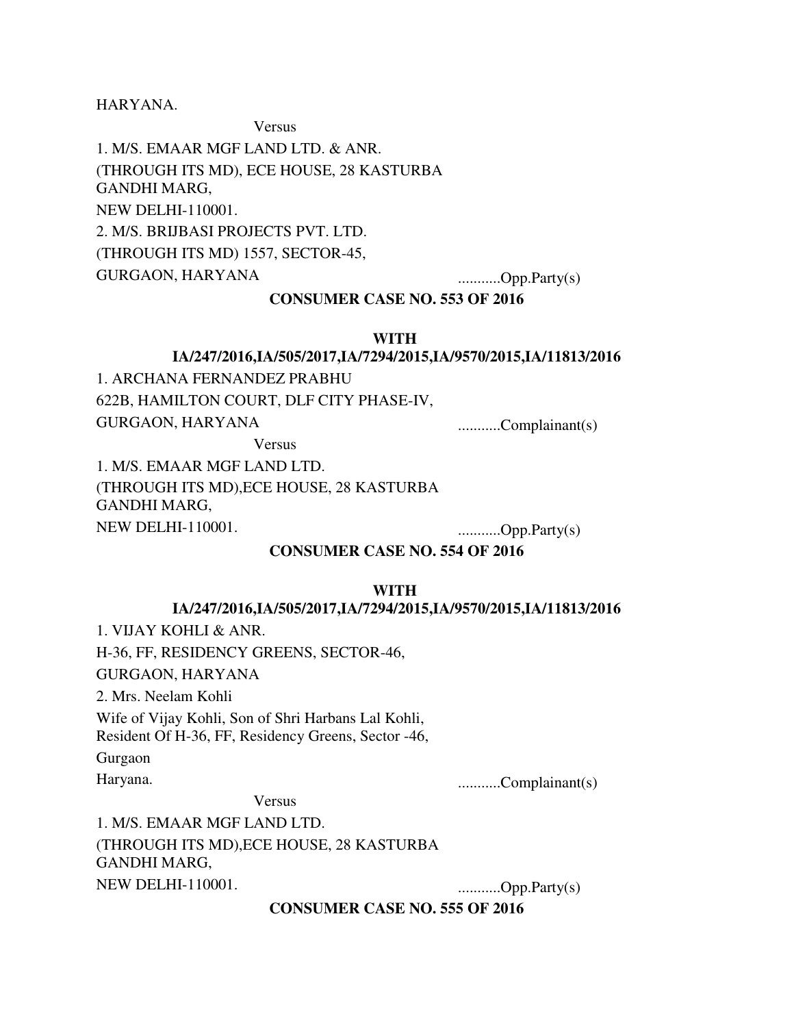HARYANA.

Versus

1. M/S. EMAAR MGF LAND LTD. & ANR. (THROUGH ITS MD), ECE HOUSE, 28 KASTURBA GANDHI MARG, NEW DELHI-110001. 2. M/S. BRIJBASI PROJECTS PVT. LTD. (THROUGH ITS MD) 1557, SECTOR-45, GURGAON, HARYANA ...........Opp.Party(s)

# **CONSUMER CASE NO. 553 OF 2016**

#### **WITH**

### **IA/247/2016,IA/505/2017,IA/7294/2015,IA/9570/2015,IA/11813/2016**

1. ARCHANA FERNANDEZ PRABHU 622B, HAMILTON COURT, DLF CITY PHASE-IV, GURGAON, HARYANA .............Complainant(s)

Versus

1. M/S. EMAAR MGF LAND LTD. (THROUGH ITS MD),ECE HOUSE, 28 KASTURBA GANDHI MARG, NEW DELHI-110001. ...........Opp.Party(s)

#### **CONSUMER CASE NO. 554 OF 2016**

#### **WITH**

#### **IA/247/2016,IA/505/2017,IA/7294/2015,IA/9570/2015,IA/11813/2016**

1. VIJAY KOHLI & ANR.

H-36, FF, RESIDENCY GREENS, SECTOR-46,

GURGAON, HARYANA

2. Mrs. Neelam Kohli

Wife of Vijay Kohli, Son of Shri Harbans Lal Kohli,

Resident Of H-36, FF, Residency Greens, Sector -46,

Gurgaon

Haryana. ...........Complainant(s)

Versus

1. M/S. EMAAR MGF LAND LTD. (THROUGH ITS MD),ECE HOUSE, 28 KASTURBA GANDHI MARG, NEW DELHI-110001. ...........Opp.Party(s)

**CONSUMER CASE NO. 555 OF 2016**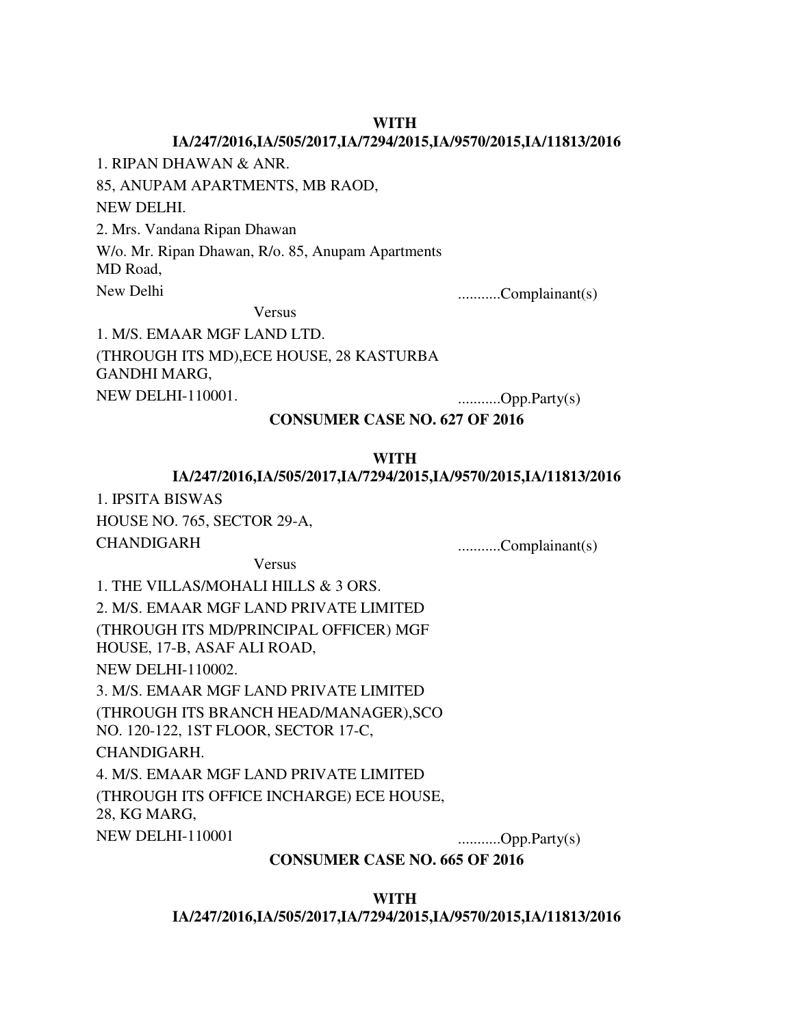### **WITH**

### **IA/247/2016,IA/505/2017,IA/7294/2015,IA/9570/2015,IA/11813/2016**

1. RIPAN DHAWAN & ANR.

85, ANUPAM APARTMENTS, MB RAOD,

NEW DELHI.

2. Mrs. Vandana Ripan Dhawan

W/o. Mr. Ripan Dhawan, R/o. 85, Anupam Apartments

MD Road,

New Delhi ...........Complainant(s)

Versus

1. M/S. EMAAR MGF LAND LTD. (THROUGH ITS MD),ECE HOUSE, 28 KASTURBA GANDHI MARG, NEW DELHI-110001. ...........Opp.Party(s)

### **CONSUMER CASE NO. 627 OF 2016**

#### **WITH**

#### **IA/247/2016,IA/505/2017,IA/7294/2015,IA/9570/2015,IA/11813/2016**

1. IPSITA BISWAS

HOUSE NO. 765, SECTOR 29-A,

CHANDIGARH ...........Complainant(s)

Versus

1. THE VILLAS/MOHALI HILLS & 3 ORS. 2. M/S. EMAAR MGF LAND PRIVATE LIMITED (THROUGH ITS MD/PRINCIPAL OFFICER) MGF HOUSE, 17-B, ASAF ALI ROAD, NEW DELHI-110002. 3. M/S. EMAAR MGF LAND PRIVATE LIMITED (THROUGH ITS BRANCH HEAD/MANAGER),SCO NO. 120-122, 1ST FLOOR, SECTOR 17-C, CHANDIGARH. 4. M/S. EMAAR MGF LAND PRIVATE LIMITED (THROUGH ITS OFFICE INCHARGE) ECE HOUSE, 28, KG MARG, NEW DELHI-110001 ...............Opp.Party(s)

**CONSUMER CASE NO. 665 OF 2016**

**WITH IA/247/2016,IA/505/2017,IA/7294/2015,IA/9570/2015,IA/11813/2016**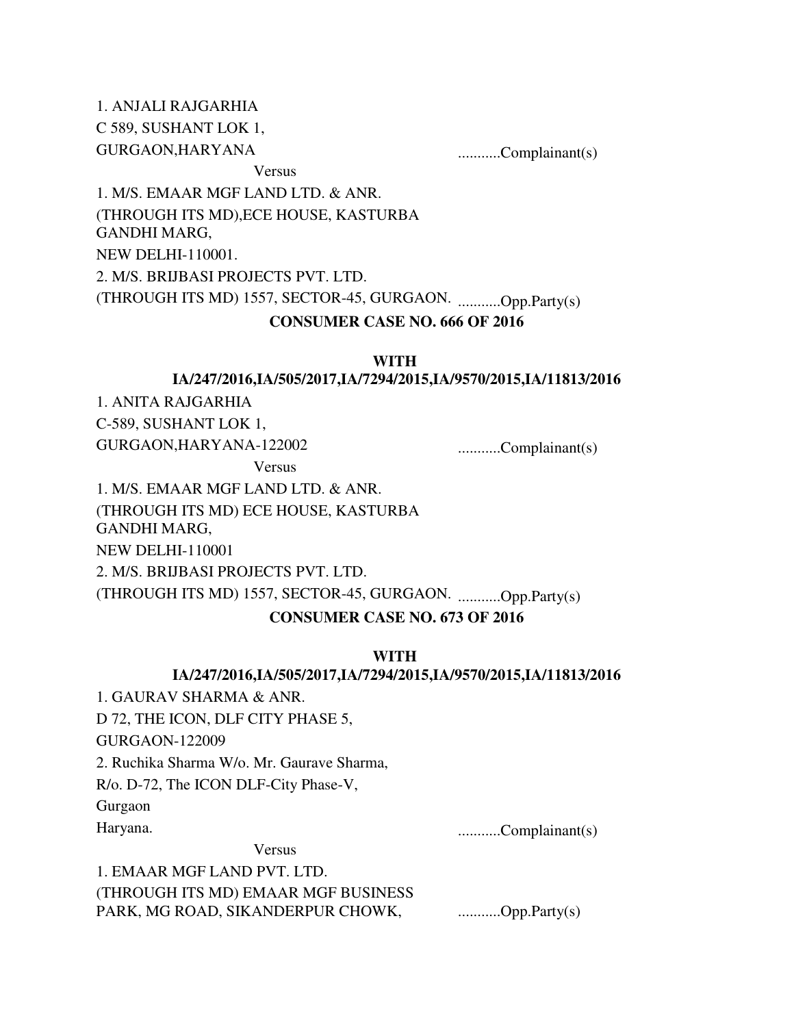1. ANJALI RAJGARHIA C 589, SUSHANT LOK 1, GURGAON,HARYANA ............Complainant(s) Versus 1. M/S. EMAAR MGF LAND LTD. & ANR. (THROUGH ITS MD),ECE HOUSE, KASTURBA GANDHI MARG, NEW DELHI-110001.

2. M/S. BRIJBASI PROJECTS PVT. LTD.

(THROUGH ITS MD) 1557, SECTOR-45, GURGAON. ...........Opp.Party(s)

#### **CONSUMER CASE NO. 666 OF 2016**

#### **WITH**

### **IA/247/2016,IA/505/2017,IA/7294/2015,IA/9570/2015,IA/11813/2016**

1. ANITA RAJGARHIA

C-589, SUSHANT LOK 1,

GURGAON,HARYANA-122002 ............Complainant(s)

Versus

1. M/S. EMAAR MGF LAND LTD. & ANR. (THROUGH ITS MD) ECE HOUSE, KASTURBA GANDHI MARG,

NEW DELHI-110001

2. M/S. BRIJBASI PROJECTS PVT. LTD.

(THROUGH ITS MD) 1557, SECTOR-45, GURGAON. ...........Opp.Party(s)

### **CONSUMER CASE NO. 673 OF 2016**

#### **WITH**

#### **IA/247/2016,IA/505/2017,IA/7294/2015,IA/9570/2015,IA/11813/2016**

1. GAURAV SHARMA & ANR.

D 72, THE ICON, DLF CITY PHASE 5, GURGAON-122009

2. Ruchika Sharma W/o. Mr. Gaurave Sharma,

R/o. D-72, The ICON DLF-City Phase-V,

Gurgaon

Haryana. ...........Complainant(s)

Versus

1. EMAAR MGF LAND PVT. LTD.

(THROUGH ITS MD) EMAAR MGF BUSINESS PARK, MG ROAD, SIKANDERPUR CHOWK, ............Opp.Party(s)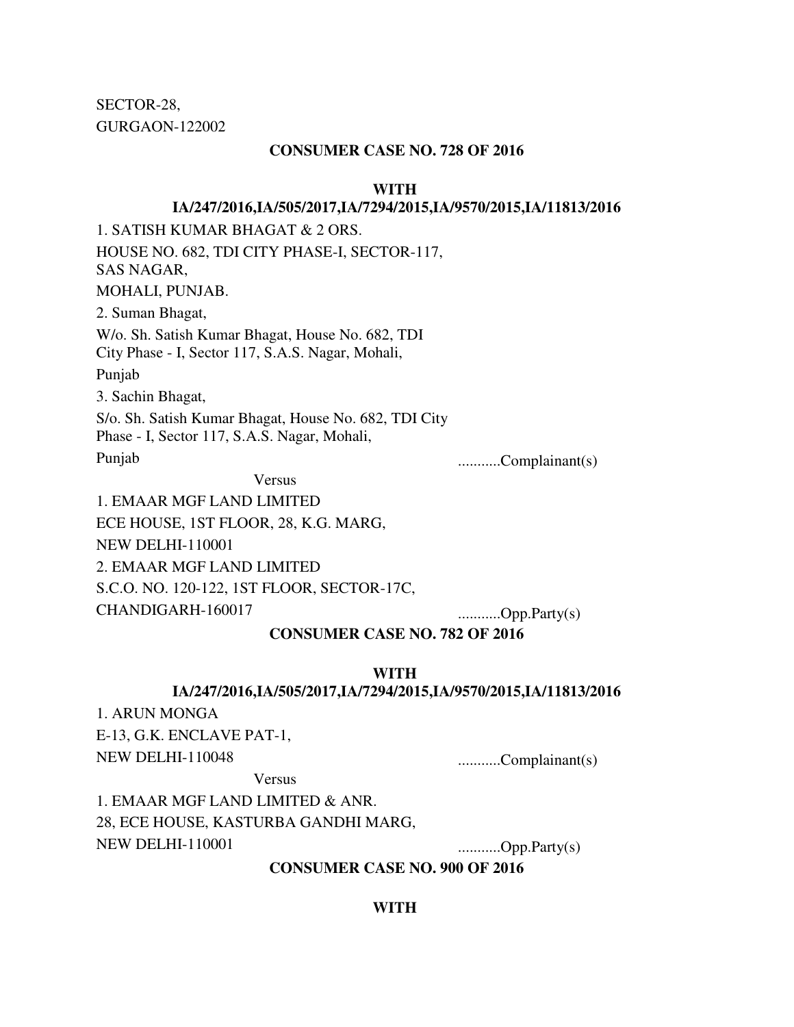SECTOR-28, GURGAON-122002

### **CONSUMER CASE NO. 728 OF 2016**

#### **WITH**

### **IA/247/2016,IA/505/2017,IA/7294/2015,IA/9570/2015,IA/11813/2016**

1. SATISH KUMAR BHAGAT & 2 ORS. HOUSE NO. 682, TDI CITY PHASE-I, SECTOR-117, SAS NAGAR, MOHALI, PUNJAB. 2. Suman Bhagat, W/o. Sh. Satish Kumar Bhagat, House No. 682, TDI City Phase - I, Sector 117, S.A.S. Nagar, Mohali, Punjab 3. Sachin Bhagat, S/o. Sh. Satish Kumar Bhagat, House No. 682, TDI City Phase - I, Sector 117, S.A.S. Nagar, Mohali, Punjab ...........Complainant(s) Versus 1. EMAAR MGF LAND LIMITED

ECE HOUSE, 1ST FLOOR, 28, K.G. MARG, NEW DELHI-110001 2. EMAAR MGF LAND LIMITED S.C.O. NO. 120-122, 1ST FLOOR, SECTOR-17C, CHANDIGARH-160017 ...........Opp.Party(s)

**WITH** 

**CONSUMER CASE NO. 782 OF 2016**

#### **IA/247/2016,IA/505/2017,IA/7294/2015,IA/9570/2015,IA/11813/2016**

1. ARUN MONGA

E-13, G.K. ENCLAVE PAT-1, NEW DELHI-110048 ...........Complainant(s)

Versus

1. EMAAR MGF LAND LIMITED & ANR. 28, ECE HOUSE, KASTURBA GANDHI MARG, NEW DELHI-110001 ...............Opp.Party(s)

#### **CONSUMER CASE NO. 900 OF 2016**

#### **WITH**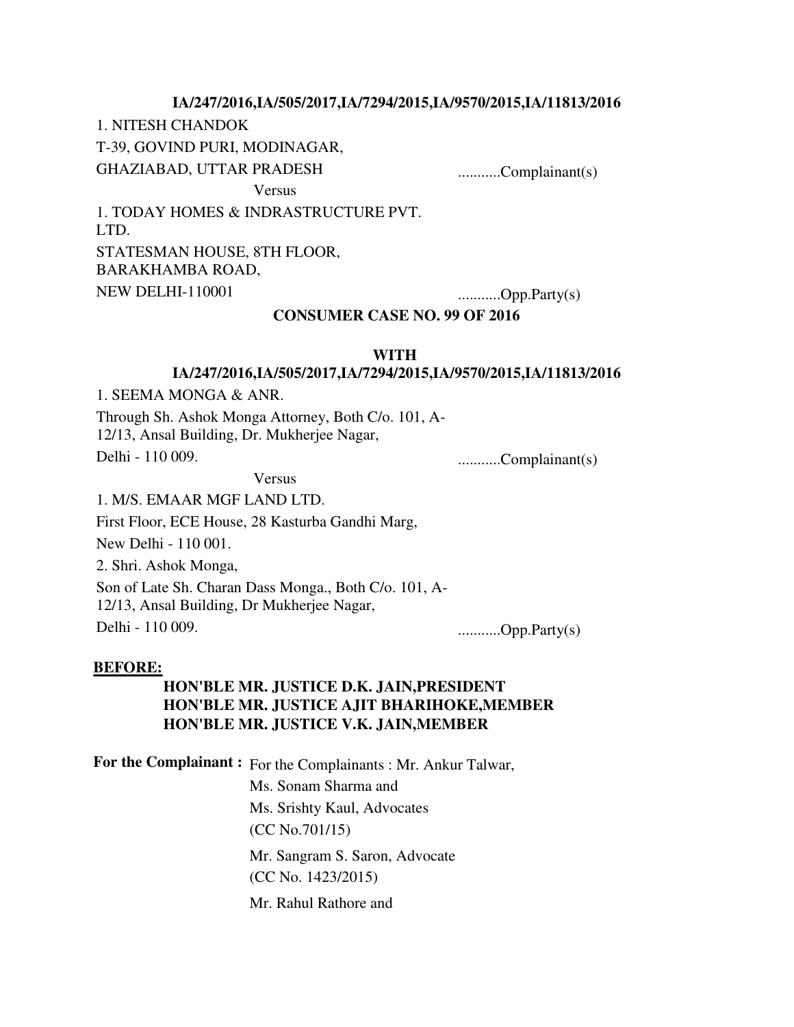### **IA/247/2016,IA/505/2017,IA/7294/2015,IA/9570/2015,IA/11813/2016**

1. NITESH CHANDOK

T-39, GOVIND PURI, MODINAGAR,

GHAZIABAD, UTTAR PRADESH ............Complainant(s)

Versus

1. TODAY HOMES & INDRASTRUCTURE PVT. LTD. STATESMAN HOUSE, 8TH FLOOR, BARAKHAMBA ROAD, NEW DELHI-110001 ................Opp.Party(s)

### **CONSUMER CASE NO. 99 OF 2016**

#### **WITH**

### **IA/247/2016,IA/505/2017,IA/7294/2015,IA/9570/2015,IA/11813/2016**

1. SEEMA MONGA & ANR.

Through Sh. Ashok Monga Attorney, Both C/o. 101, A-12/13, Ansal Building, Dr. Mukherjee Nagar, Delhi - 110 009. ...........Complainant(s)

Versus

1. M/S. EMAAR MGF LAND LTD.

First Floor, ECE House, 28 Kasturba Gandhi Marg,

New Delhi - 110 001.

2. Shri. Ashok Monga,

Son of Late Sh. Charan Dass Monga., Both C/o. 101, A-

12/13, Ansal Building, Dr Mukherjee Nagar,

Delhi - 110 009. ...........Opp.Party(s)

#### **BEFORE:**

# **HON'BLE MR. JUSTICE D.K. JAIN,PRESIDENT HON'BLE MR. JUSTICE AJIT BHARIHOKE,MEMBER HON'BLE MR. JUSTICE V.K. JAIN,MEMBER**

**For the Complainant :** For the Complainants : Mr. Ankur Talwar,

Ms. Sonam Sharma and Ms. Srishty Kaul, Advocates (CC No.701/15) Mr. Sangram S. Saron, Advocate (CC No. 1423/2015) Mr. Rahul Rathore and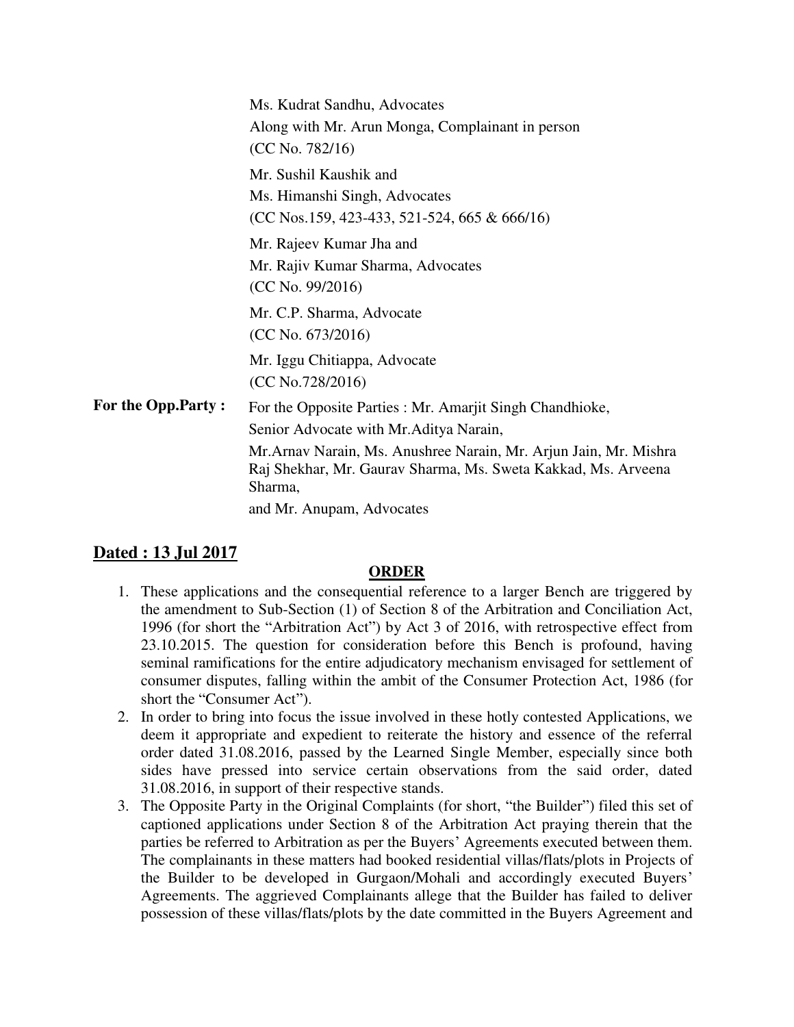|                    | Ms. Kudrat Sandhu, Advocates<br>Along with Mr. Arun Monga, Complainant in person<br>(CC No. 782/16)                                                                                                                                                                               |
|--------------------|-----------------------------------------------------------------------------------------------------------------------------------------------------------------------------------------------------------------------------------------------------------------------------------|
|                    | Mr. Sushil Kaushik and<br>Ms. Himanshi Singh, Advocates<br>$(CC Nos.159, 423-433, 521-524, 665 & 666/16)$                                                                                                                                                                         |
|                    | Mr. Rajeev Kumar Jha and<br>Mr. Rajiv Kumar Sharma, Advocates<br>(CC No. 99/2016)                                                                                                                                                                                                 |
|                    | Mr. C.P. Sharma, Advocate<br>(CC No. 673/2016)                                                                                                                                                                                                                                    |
|                    | Mr. Iggu Chitiappa, Advocate<br>(CC No.728/2016)                                                                                                                                                                                                                                  |
| For the Opp.Party: | For the Opposite Parties : Mr. Amarjit Singh Chandhioke,<br>Senior Advocate with Mr. Aditya Narain,<br>Mr. Arnav Narain, Ms. Anushree Narain, Mr. Arjun Jain, Mr. Mishra<br>Raj Shekhar, Mr. Gaurav Sharma, Ms. Sweta Kakkad, Ms. Arveena<br>Sharma,<br>and Mr. Anupam, Advocates |

# **Dated : 13 Jul 2017**

# **ORDER**

- 1. These applications and the consequential reference to a larger Bench are triggered by the amendment to Sub-Section (1) of Section 8 of the Arbitration and Conciliation Act, 1996 (for short the "Arbitration Act") by Act 3 of 2016, with retrospective effect from 23.10.2015. The question for consideration before this Bench is profound, having seminal ramifications for the entire adjudicatory mechanism envisaged for settlement of consumer disputes, falling within the ambit of the Consumer Protection Act, 1986 (for short the "Consumer Act").
- 2. In order to bring into focus the issue involved in these hotly contested Applications, we deem it appropriate and expedient to reiterate the history and essence of the referral order dated 31.08.2016, passed by the Learned Single Member, especially since both sides have pressed into service certain observations from the said order, dated 31.08.2016, in support of their respective stands.
- 3. The Opposite Party in the Original Complaints (for short, "the Builder") filed this set of captioned applications under Section 8 of the Arbitration Act praying therein that the parties be referred to Arbitration as per the Buyers' Agreements executed between them. The complainants in these matters had booked residential villas/flats/plots in Projects of the Builder to be developed in Gurgaon/Mohali and accordingly executed Buyers' Agreements. The aggrieved Complainants allege that the Builder has failed to deliver possession of these villas/flats/plots by the date committed in the Buyers Agreement and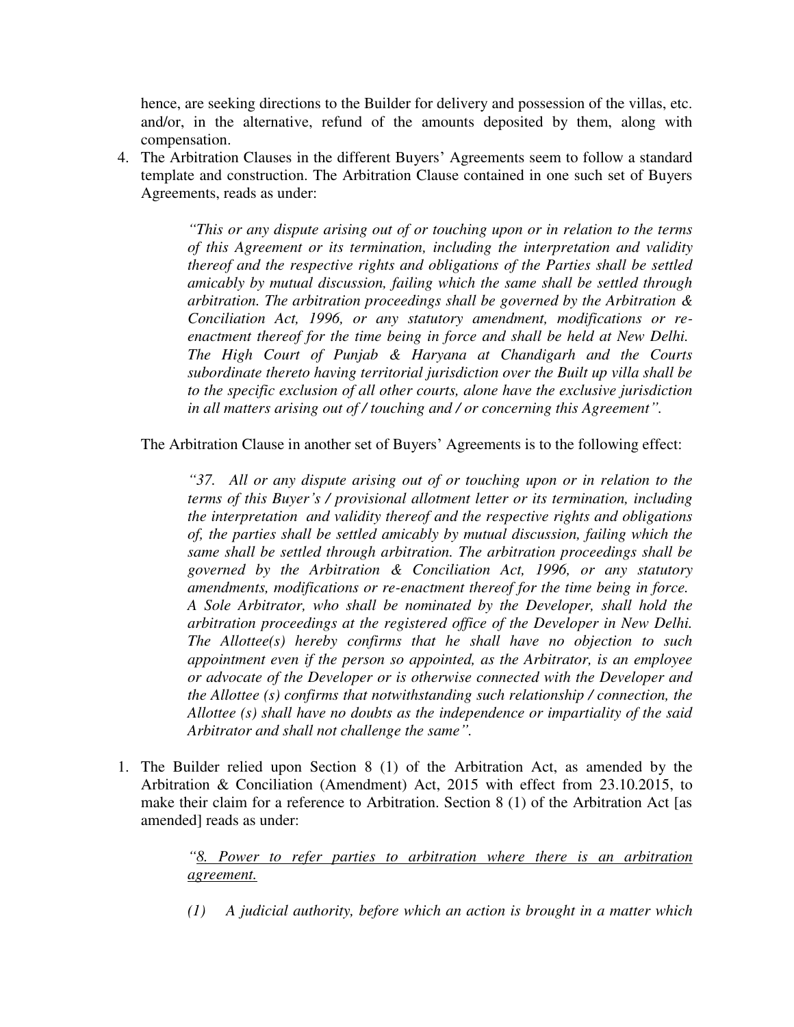hence, are seeking directions to the Builder for delivery and possession of the villas, etc. and/or, in the alternative, refund of the amounts deposited by them, along with compensation.

4. The Arbitration Clauses in the different Buyers' Agreements seem to follow a standard template and construction. The Arbitration Clause contained in one such set of Buyers Agreements, reads as under:

> *"This or any dispute arising out of or touching upon or in relation to the terms of this Agreement or its termination, including the interpretation and validity thereof and the respective rights and obligations of the Parties shall be settled amicably by mutual discussion, failing which the same shall be settled through arbitration. The arbitration proceedings shall be governed by the Arbitration & Conciliation Act, 1996, or any statutory amendment, modifications or reenactment thereof for the time being in force and shall be held at New Delhi. The High Court of Punjab & Haryana at Chandigarh and the Courts subordinate thereto having territorial jurisdiction over the Built up villa shall be to the specific exclusion of all other courts, alone have the exclusive jurisdiction in all matters arising out of / touching and / or concerning this Agreement".*

The Arbitration Clause in another set of Buyers' Agreements is to the following effect:

*"37. All or any dispute arising out of or touching upon or in relation to the terms of this Buyer's / provisional allotment letter or its termination, including the interpretation and validity thereof and the respective rights and obligations of, the parties shall be settled amicably by mutual discussion, failing which the same shall be settled through arbitration. The arbitration proceedings shall be governed by the Arbitration & Conciliation Act, 1996, or any statutory amendments, modifications or re-enactment thereof for the time being in force. A Sole Arbitrator, who shall be nominated by the Developer, shall hold the arbitration proceedings at the registered office of the Developer in New Delhi. The Allottee(s) hereby confirms that he shall have no objection to such appointment even if the person so appointed, as the Arbitrator, is an employee or advocate of the Developer or is otherwise connected with the Developer and the Allottee (s) confirms that notwithstanding such relationship / connection, the Allottee (s) shall have no doubts as the independence or impartiality of the said Arbitrator and shall not challenge the same".*

1. The Builder relied upon Section 8 (1) of the Arbitration Act, as amended by the Arbitration & Conciliation (Amendment) Act, 2015 with effect from 23.10.2015, to make their claim for a reference to Arbitration. Section 8 (1) of the Arbitration Act [as amended] reads as under:

> *"8. Power to refer parties to arbitration where there is an arbitration agreement.*

> *(1) A judicial authority, before which an action is brought in a matter which*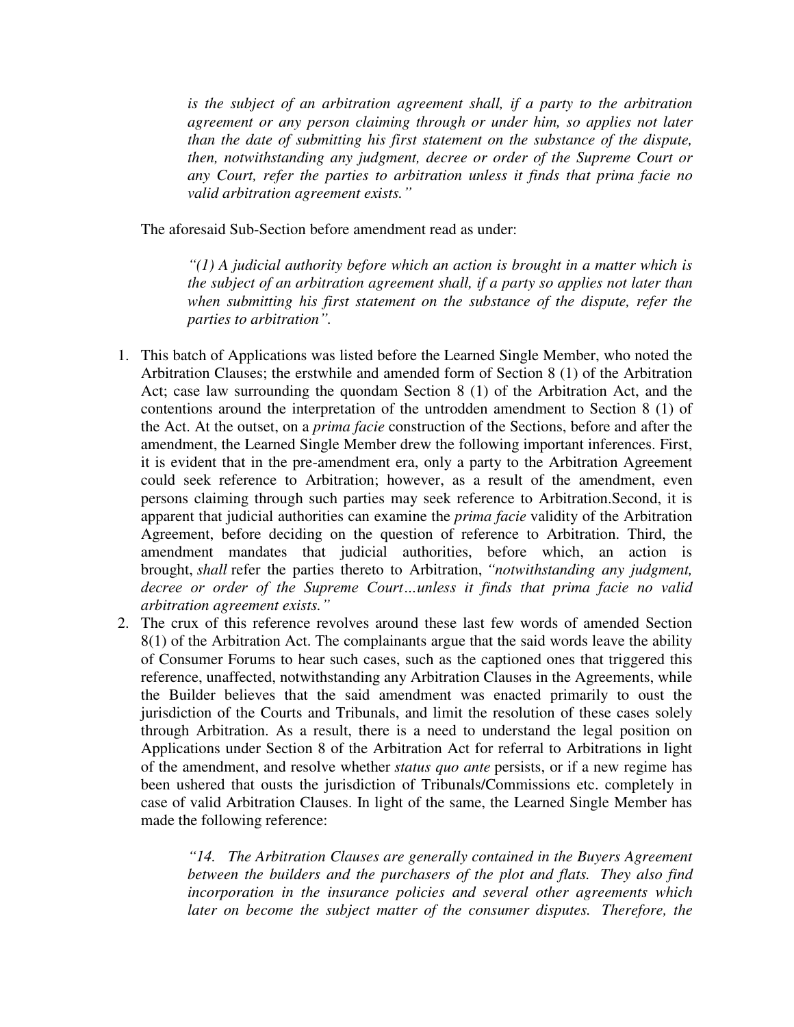is the subject of an arbitration agreement shall, if a party to the arbitration *agreement or any person claiming through or under him, so applies not later than the date of submitting his first statement on the substance of the dispute, then, notwithstanding any judgment, decree or order of the Supreme Court or any Court, refer the parties to arbitration unless it finds that prima facie no valid arbitration agreement exists."*

The aforesaid Sub-Section before amendment read as under:

*"(1) A judicial authority before which an action is brought in a matter which is the subject of an arbitration agreement shall, if a party so applies not later than when submitting his first statement on the substance of the dispute, refer the parties to arbitration".*

- 1. This batch of Applications was listed before the Learned Single Member, who noted the Arbitration Clauses; the erstwhile and amended form of Section 8 (1) of the Arbitration Act; case law surrounding the quondam Section 8 (1) of the Arbitration Act, and the contentions around the interpretation of the untrodden amendment to Section 8 (1) of the Act. At the outset, on a *prima facie* construction of the Sections, before and after the amendment, the Learned Single Member drew the following important inferences. First, it is evident that in the pre-amendment era, only a party to the Arbitration Agreement could seek reference to Arbitration; however, as a result of the amendment, even persons claiming through such parties may seek reference to Arbitration.Second, it is apparent that judicial authorities can examine the *prima facie* validity of the Arbitration Agreement, before deciding on the question of reference to Arbitration. Third, the amendment mandates that judicial authorities, before which, an action is brought, *shall* refer the parties thereto to Arbitration, *"notwithstanding any judgment, decree or order of the Supreme Court…unless it finds that prima facie no valid arbitration agreement exists."*
- 2. The crux of this reference revolves around these last few words of amended Section 8(1) of the Arbitration Act. The complainants argue that the said words leave the ability of Consumer Forums to hear such cases, such as the captioned ones that triggered this reference, unaffected, notwithstanding any Arbitration Clauses in the Agreements, while the Builder believes that the said amendment was enacted primarily to oust the jurisdiction of the Courts and Tribunals, and limit the resolution of these cases solely through Arbitration. As a result, there is a need to understand the legal position on Applications under Section 8 of the Arbitration Act for referral to Arbitrations in light of the amendment, and resolve whether *status quo ante* persists, or if a new regime has been ushered that ousts the jurisdiction of Tribunals/Commissions etc. completely in case of valid Arbitration Clauses. In light of the same, the Learned Single Member has made the following reference:

*"14. The Arbitration Clauses are generally contained in the Buyers Agreement between the builders and the purchasers of the plot and flats. They also find incorporation in the insurance policies and several other agreements which later on become the subject matter of the consumer disputes. Therefore, the*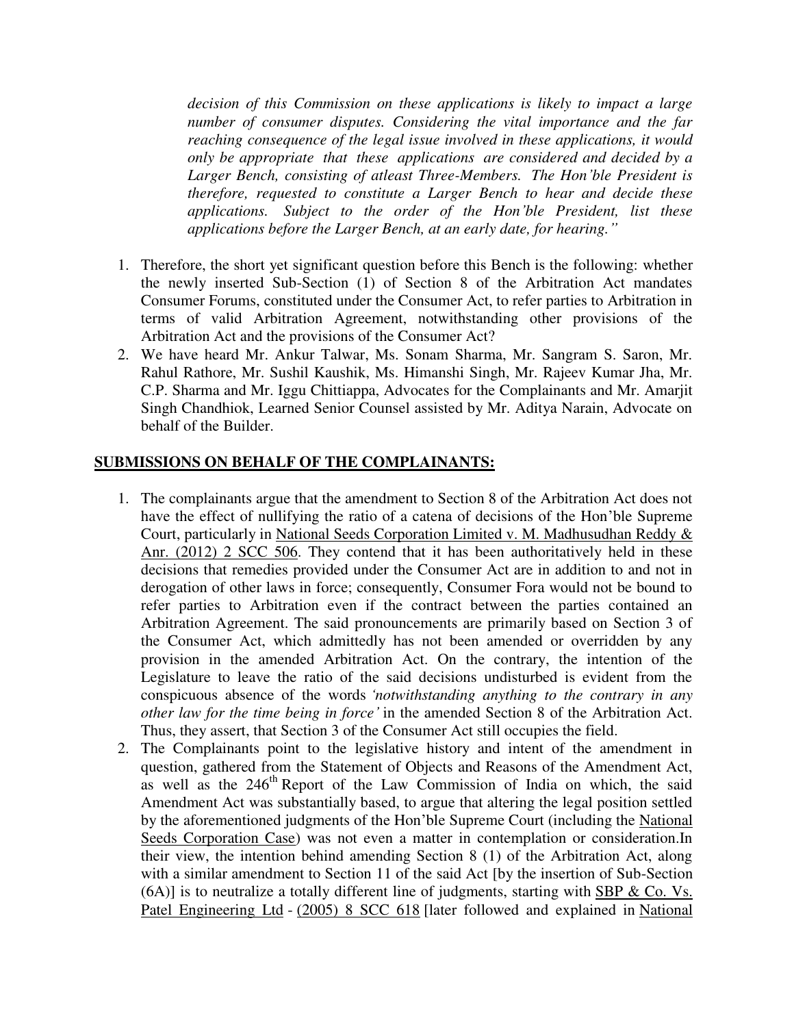*decision of this Commission on these applications is likely to impact a large number of consumer disputes. Considering the vital importance and the far reaching consequence of the legal issue involved in these applications, it would only be appropriate that these applications are considered and decided by a Larger Bench, consisting of atleast Three-Members. The Hon'ble President is therefore, requested to constitute a Larger Bench to hear and decide these applications. Subject to the order of the Hon'ble President, list these applications before the Larger Bench, at an early date, for hearing."*

- 1. Therefore, the short yet significant question before this Bench is the following: whether the newly inserted Sub-Section (1) of Section 8 of the Arbitration Act mandates Consumer Forums, constituted under the Consumer Act, to refer parties to Arbitration in terms of valid Arbitration Agreement, notwithstanding other provisions of the Arbitration Act and the provisions of the Consumer Act?
- 2. We have heard Mr. Ankur Talwar, Ms. Sonam Sharma, Mr. Sangram S. Saron, Mr. Rahul Rathore, Mr. Sushil Kaushik, Ms. Himanshi Singh, Mr. Rajeev Kumar Jha, Mr. C.P. Sharma and Mr. Iggu Chittiappa, Advocates for the Complainants and Mr. Amarjit Singh Chandhiok, Learned Senior Counsel assisted by Mr. Aditya Narain, Advocate on behalf of the Builder.

#### **SUBMISSIONS ON BEHALF OF THE COMPLAINANTS:**

- 1. The complainants argue that the amendment to Section 8 of the Arbitration Act does not have the effect of nullifying the ratio of a catena of decisions of the Hon'ble Supreme Court, particularly in National Seeds Corporation Limited v. M. Madhusudhan Reddy & Anr. (2012) 2 SCC 506. They contend that it has been authoritatively held in these decisions that remedies provided under the Consumer Act are in addition to and not in derogation of other laws in force; consequently, Consumer Fora would not be bound to refer parties to Arbitration even if the contract between the parties contained an Arbitration Agreement. The said pronouncements are primarily based on Section 3 of the Consumer Act, which admittedly has not been amended or overridden by any provision in the amended Arbitration Act. On the contrary, the intention of the Legislature to leave the ratio of the said decisions undisturbed is evident from the conspicuous absence of the words *'notwithstanding anything to the contrary in any other law for the time being in force'* in the amended Section 8 of the Arbitration Act. Thus, they assert, that Section 3 of the Consumer Act still occupies the field.
- 2. The Complainants point to the legislative history and intent of the amendment in question, gathered from the Statement of Objects and Reasons of the Amendment Act, as well as the  $246<sup>th</sup>$  Report of the Law Commission of India on which, the said Amendment Act was substantially based, to argue that altering the legal position settled by the aforementioned judgments of the Hon'ble Supreme Court (including the National Seeds Corporation Case) was not even a matter in contemplation or consideration.In their view, the intention behind amending Section 8 (1) of the Arbitration Act, along with a similar amendment to Section 11 of the said Act [by the insertion of Sub-Section (6A)] is to neutralize a totally different line of judgments, starting with SBP & Co. Vs. Patel Engineering Ltd - (2005) 8 SCC 618 [later followed and explained in National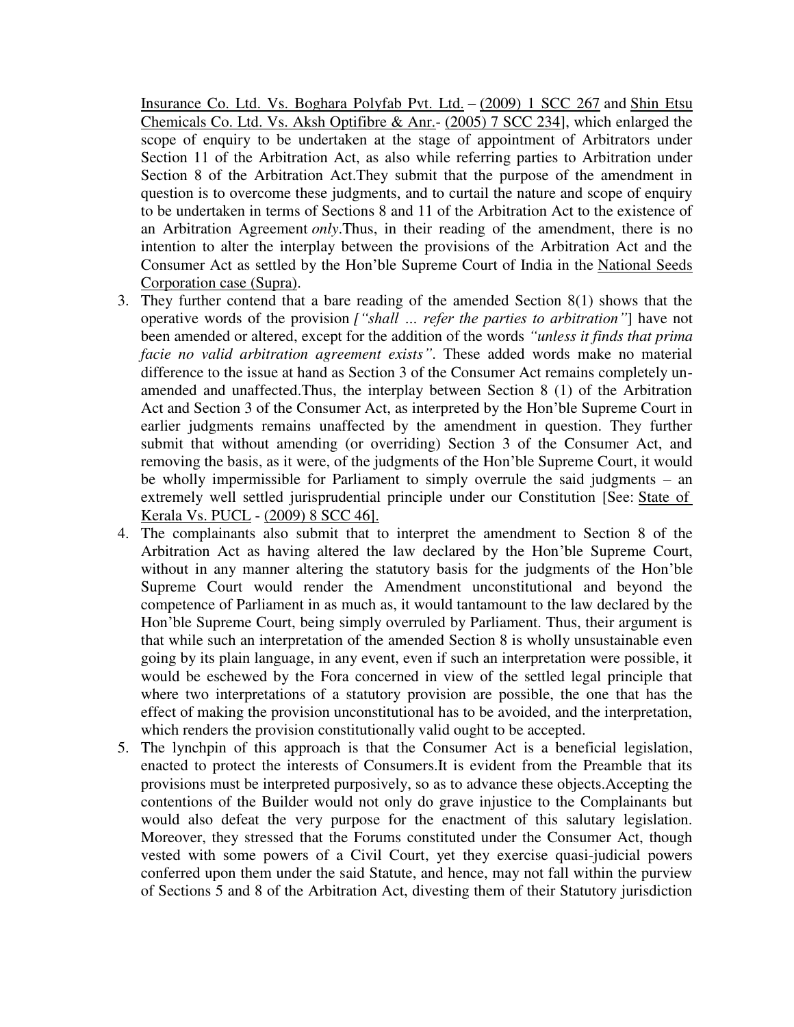Insurance Co. Ltd. Vs. Boghara Polyfab Pvt. Ltd. – (2009) 1 SCC 267 and Shin Etsu Chemicals Co. Ltd. Vs. Aksh Optifibre & Anr.- (2005) 7 SCC 234], which enlarged the scope of enquiry to be undertaken at the stage of appointment of Arbitrators under Section 11 of the Arbitration Act, as also while referring parties to Arbitration under Section 8 of the Arbitration Act.They submit that the purpose of the amendment in question is to overcome these judgments, and to curtail the nature and scope of enquiry to be undertaken in terms of Sections 8 and 11 of the Arbitration Act to the existence of an Arbitration Agreement *only*.Thus, in their reading of the amendment, there is no intention to alter the interplay between the provisions of the Arbitration Act and the Consumer Act as settled by the Hon'ble Supreme Court of India in the National Seeds Corporation case (Supra).

- 3. They further contend that a bare reading of the amended Section 8(1) shows that the operative words of the provision *["shall … refer the parties to arbitration"*] have not been amended or altered, except for the addition of the words *"unless it finds that prima facie no valid arbitration agreement exists"*. These added words make no material difference to the issue at hand as Section 3 of the Consumer Act remains completely unamended and unaffected.Thus, the interplay between Section 8 (1) of the Arbitration Act and Section 3 of the Consumer Act, as interpreted by the Hon'ble Supreme Court in earlier judgments remains unaffected by the amendment in question. They further submit that without amending (or overriding) Section 3 of the Consumer Act, and removing the basis, as it were, of the judgments of the Hon'ble Supreme Court, it would be wholly impermissible for Parliament to simply overrule the said judgments – an extremely well settled jurisprudential principle under our Constitution [See: State of Kerala Vs. PUCL - (2009) 8 SCC 46].
- 4. The complainants also submit that to interpret the amendment to Section 8 of the Arbitration Act as having altered the law declared by the Hon'ble Supreme Court, without in any manner altering the statutory basis for the judgments of the Hon'ble Supreme Court would render the Amendment unconstitutional and beyond the competence of Parliament in as much as, it would tantamount to the law declared by the Hon'ble Supreme Court, being simply overruled by Parliament. Thus, their argument is that while such an interpretation of the amended Section 8 is wholly unsustainable even going by its plain language, in any event, even if such an interpretation were possible, it would be eschewed by the Fora concerned in view of the settled legal principle that where two interpretations of a statutory provision are possible, the one that has the effect of making the provision unconstitutional has to be avoided, and the interpretation, which renders the provision constitutionally valid ought to be accepted.
- 5. The lynchpin of this approach is that the Consumer Act is a beneficial legislation, enacted to protect the interests of Consumers.It is evident from the Preamble that its provisions must be interpreted purposively, so as to advance these objects.Accepting the contentions of the Builder would not only do grave injustice to the Complainants but would also defeat the very purpose for the enactment of this salutary legislation. Moreover, they stressed that the Forums constituted under the Consumer Act, though vested with some powers of a Civil Court, yet they exercise quasi-judicial powers conferred upon them under the said Statute, and hence, may not fall within the purview of Sections 5 and 8 of the Arbitration Act, divesting them of their Statutory jurisdiction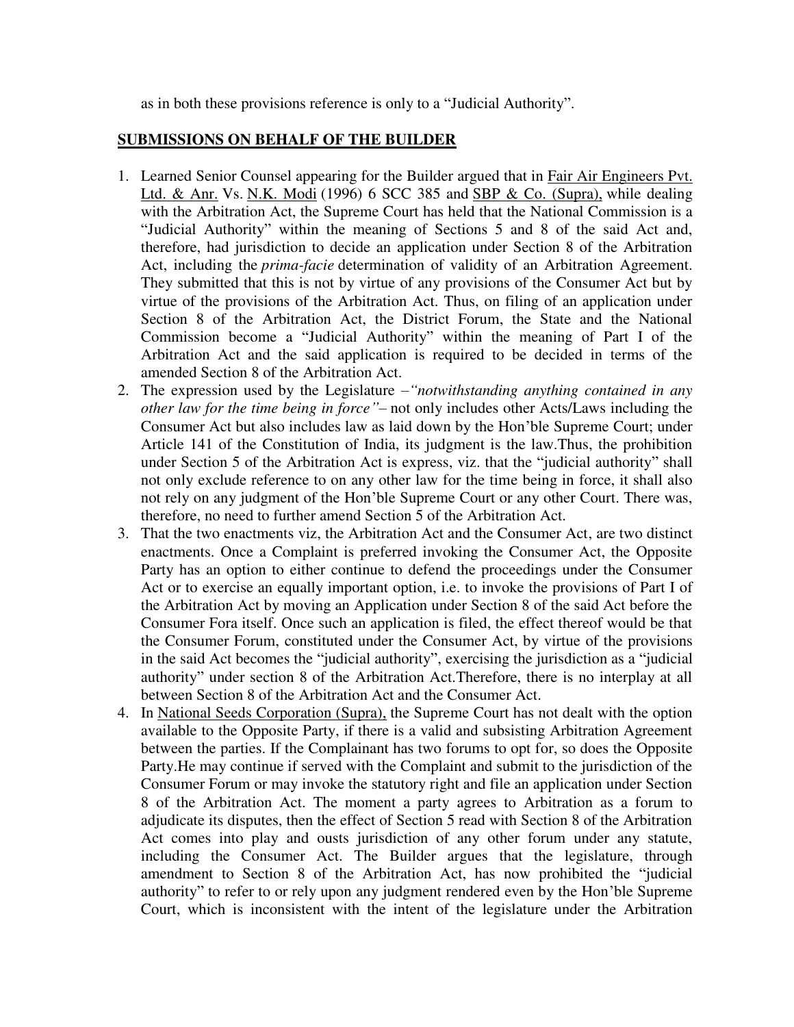as in both these provisions reference is only to a "Judicial Authority".

# **SUBMISSIONS ON BEHALF OF THE BUILDER**

- 1. Learned Senior Counsel appearing for the Builder argued that in Fair Air Engineers Pvt. Ltd. & Anr. Vs. N.K. Modi (1996) 6 SCC 385 and SBP & Co. (Supra), while dealing with the Arbitration Act, the Supreme Court has held that the National Commission is a "Judicial Authority" within the meaning of Sections 5 and 8 of the said Act and, therefore, had jurisdiction to decide an application under Section 8 of the Arbitration Act, including the *prima-facie* determination of validity of an Arbitration Agreement. They submitted that this is not by virtue of any provisions of the Consumer Act but by virtue of the provisions of the Arbitration Act. Thus, on filing of an application under Section 8 of the Arbitration Act, the District Forum, the State and the National Commission become a "Judicial Authority" within the meaning of Part I of the Arbitration Act and the said application is required to be decided in terms of the amended Section 8 of the Arbitration Act.
- 2. The expression used by the Legislature –*"notwithstanding anything contained in any other law for the time being in force"–* not only includes other Acts/Laws including the Consumer Act but also includes law as laid down by the Hon'ble Supreme Court; under Article 141 of the Constitution of India, its judgment is the law.Thus, the prohibition under Section 5 of the Arbitration Act is express, viz. that the "judicial authority" shall not only exclude reference to on any other law for the time being in force, it shall also not rely on any judgment of the Hon'ble Supreme Court or any other Court. There was, therefore, no need to further amend Section 5 of the Arbitration Act.
- 3. That the two enactments viz, the Arbitration Act and the Consumer Act, are two distinct enactments. Once a Complaint is preferred invoking the Consumer Act, the Opposite Party has an option to either continue to defend the proceedings under the Consumer Act or to exercise an equally important option, i.e. to invoke the provisions of Part I of the Arbitration Act by moving an Application under Section 8 of the said Act before the Consumer Fora itself. Once such an application is filed, the effect thereof would be that the Consumer Forum, constituted under the Consumer Act, by virtue of the provisions in the said Act becomes the "judicial authority", exercising the jurisdiction as a "judicial authority" under section 8 of the Arbitration Act.Therefore, there is no interplay at all between Section 8 of the Arbitration Act and the Consumer Act.
- 4. In National Seeds Corporation (Supra), the Supreme Court has not dealt with the option available to the Opposite Party, if there is a valid and subsisting Arbitration Agreement between the parties. If the Complainant has two forums to opt for, so does the Opposite Party.He may continue if served with the Complaint and submit to the jurisdiction of the Consumer Forum or may invoke the statutory right and file an application under Section 8 of the Arbitration Act. The moment a party agrees to Arbitration as a forum to adjudicate its disputes, then the effect of Section 5 read with Section 8 of the Arbitration Act comes into play and ousts jurisdiction of any other forum under any statute, including the Consumer Act. The Builder argues that the legislature, through amendment to Section 8 of the Arbitration Act, has now prohibited the "judicial authority" to refer to or rely upon any judgment rendered even by the Hon'ble Supreme Court, which is inconsistent with the intent of the legislature under the Arbitration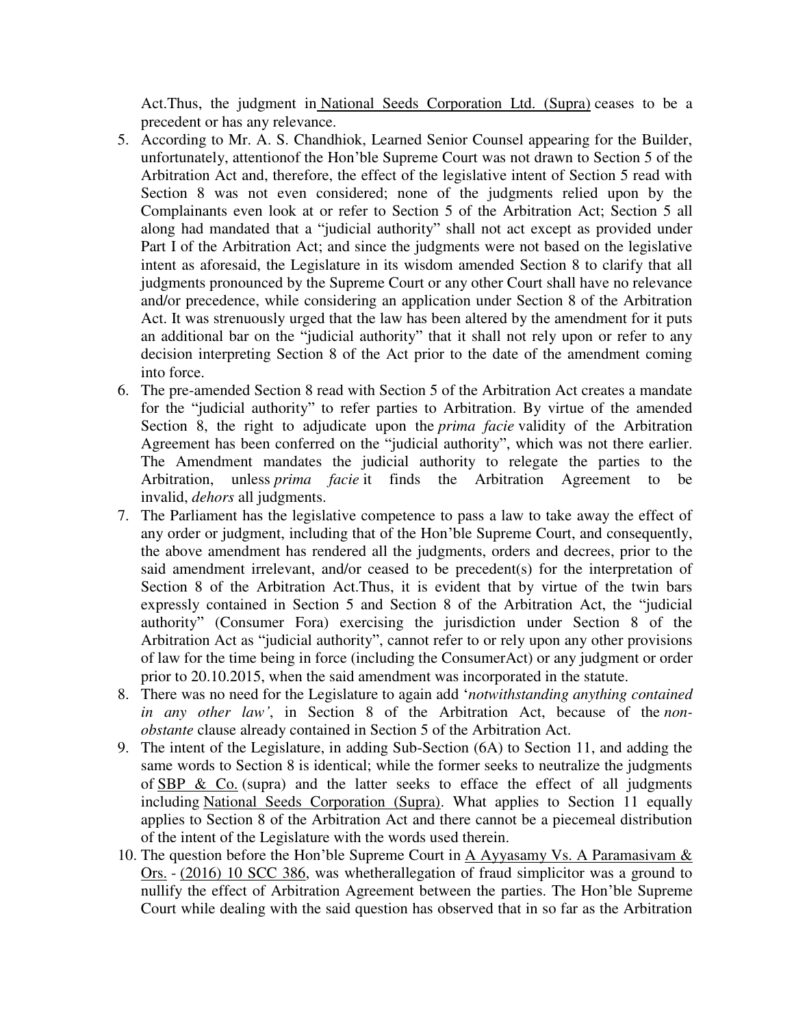Act.Thus, the judgment in National Seeds Corporation Ltd. (Supra) ceases to be a precedent or has any relevance.

- 5. According to Mr. A. S. Chandhiok, Learned Senior Counsel appearing for the Builder, unfortunately, attentionof the Hon'ble Supreme Court was not drawn to Section 5 of the Arbitration Act and, therefore, the effect of the legislative intent of Section 5 read with Section 8 was not even considered; none of the judgments relied upon by the Complainants even look at or refer to Section 5 of the Arbitration Act; Section 5 all along had mandated that a "judicial authority" shall not act except as provided under Part I of the Arbitration Act; and since the judgments were not based on the legislative intent as aforesaid, the Legislature in its wisdom amended Section 8 to clarify that all judgments pronounced by the Supreme Court or any other Court shall have no relevance and/or precedence, while considering an application under Section 8 of the Arbitration Act. It was strenuously urged that the law has been altered by the amendment for it puts an additional bar on the "judicial authority" that it shall not rely upon or refer to any decision interpreting Section 8 of the Act prior to the date of the amendment coming into force.
- 6. The pre-amended Section 8 read with Section 5 of the Arbitration Act creates a mandate for the "judicial authority" to refer parties to Arbitration. By virtue of the amended Section 8, the right to adjudicate upon the *prima facie* validity of the Arbitration Agreement has been conferred on the "judicial authority", which was not there earlier. The Amendment mandates the judicial authority to relegate the parties to the Arbitration, unless *prima facie* it finds the Arbitration Agreement to be invalid, *dehors* all judgments.
- 7. The Parliament has the legislative competence to pass a law to take away the effect of any order or judgment, including that of the Hon'ble Supreme Court, and consequently, the above amendment has rendered all the judgments, orders and decrees, prior to the said amendment irrelevant, and/or ceased to be precedent(s) for the interpretation of Section 8 of the Arbitration Act.Thus, it is evident that by virtue of the twin bars expressly contained in Section 5 and Section 8 of the Arbitration Act, the "judicial authority" (Consumer Fora) exercising the jurisdiction under Section 8 of the Arbitration Act as "judicial authority", cannot refer to or rely upon any other provisions of law for the time being in force (including the ConsumerAct) or any judgment or order prior to 20.10.2015, when the said amendment was incorporated in the statute.
- 8. There was no need for the Legislature to again add '*notwithstanding anything contained in any other law'*, in Section 8 of the Arbitration Act, because of the *nonobstante* clause already contained in Section 5 of the Arbitration Act.
- 9. The intent of the Legislature, in adding Sub-Section (6A) to Section 11, and adding the same words to Section 8 is identical; while the former seeks to neutralize the judgments of  $SBP & Co.$  (supra) and the latter seeks to efface the effect of all judgments including National Seeds Corporation (Supra). What applies to Section 11 equally applies to Section 8 of the Arbitration Act and there cannot be a piecemeal distribution of the intent of the Legislature with the words used therein.
- 10. The question before the Hon'ble Supreme Court in A Ayyasamy Vs. A Paramasivam  $\&$ Ors. - (2016) 10 SCC 386, was whetherallegation of fraud simplicitor was a ground to nullify the effect of Arbitration Agreement between the parties. The Hon'ble Supreme Court while dealing with the said question has observed that in so far as the Arbitration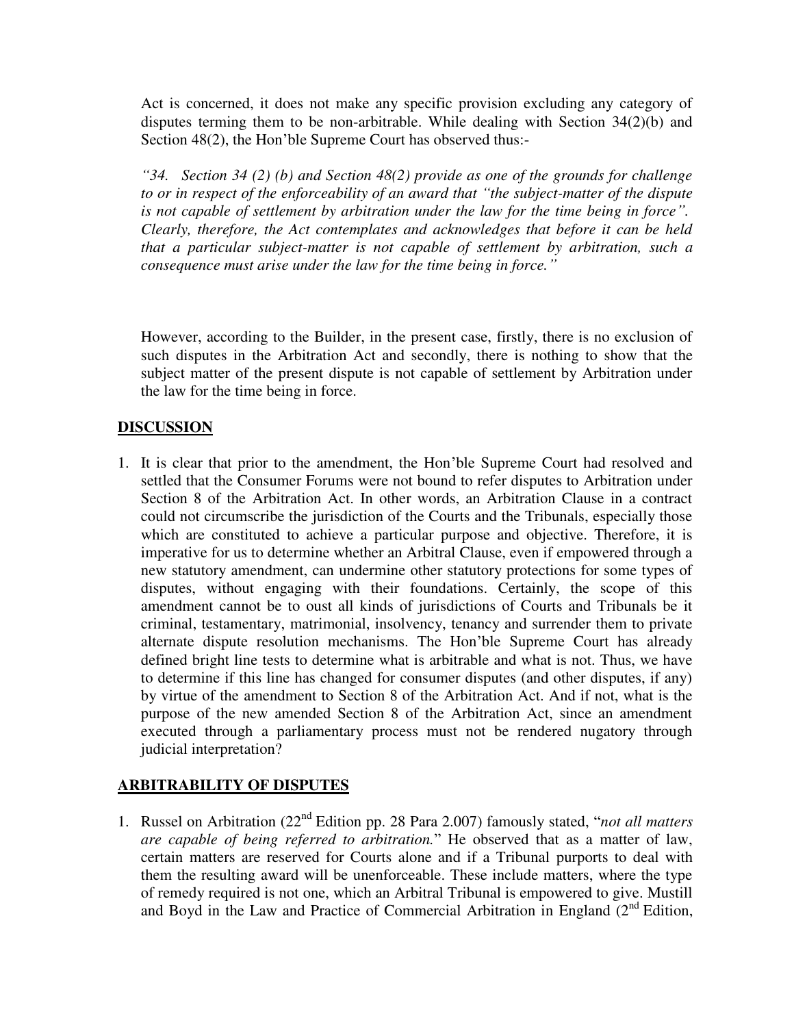Act is concerned, it does not make any specific provision excluding any category of disputes terming them to be non-arbitrable. While dealing with Section 34(2)(b) and Section 48(2), the Hon'ble Supreme Court has observed thus:-

*"34. Section 34 (2) (b) and Section 48(2) provide as one of the grounds for challenge to or in respect of the enforceability of an award that "the subject-matter of the dispute is not capable of settlement by arbitration under the law for the time being in force". Clearly, therefore, the Act contemplates and acknowledges that before it can be held that a particular subject-matter is not capable of settlement by arbitration, such a consequence must arise under the law for the time being in force."*

However, according to the Builder, in the present case, firstly, there is no exclusion of such disputes in the Arbitration Act and secondly, there is nothing to show that the subject matter of the present dispute is not capable of settlement by Arbitration under the law for the time being in force.

### **DISCUSSION**

1. It is clear that prior to the amendment, the Hon'ble Supreme Court had resolved and settled that the Consumer Forums were not bound to refer disputes to Arbitration under Section 8 of the Arbitration Act. In other words, an Arbitration Clause in a contract could not circumscribe the jurisdiction of the Courts and the Tribunals, especially those which are constituted to achieve a particular purpose and objective. Therefore, it is imperative for us to determine whether an Arbitral Clause, even if empowered through a new statutory amendment, can undermine other statutory protections for some types of disputes, without engaging with their foundations. Certainly, the scope of this amendment cannot be to oust all kinds of jurisdictions of Courts and Tribunals be it criminal, testamentary, matrimonial, insolvency, tenancy and surrender them to private alternate dispute resolution mechanisms. The Hon'ble Supreme Court has already defined bright line tests to determine what is arbitrable and what is not. Thus, we have to determine if this line has changed for consumer disputes (and other disputes, if any) by virtue of the amendment to Section 8 of the Arbitration Act. And if not, what is the purpose of the new amended Section 8 of the Arbitration Act, since an amendment executed through a parliamentary process must not be rendered nugatory through judicial interpretation?

# **ARBITRABILITY OF DISPUTES**

1. Russel on Arbitration (22nd Edition pp. 28 Para 2.007) famously stated, "*not all matters are capable of being referred to arbitration.*" He observed that as a matter of law, certain matters are reserved for Courts alone and if a Tribunal purports to deal with them the resulting award will be unenforceable. These include matters, where the type of remedy required is not one, which an Arbitral Tribunal is empowered to give. Mustill and Boyd in the Law and Practice of Commercial Arbitration in England  $\tilde{Q}^{nd}$  Edition,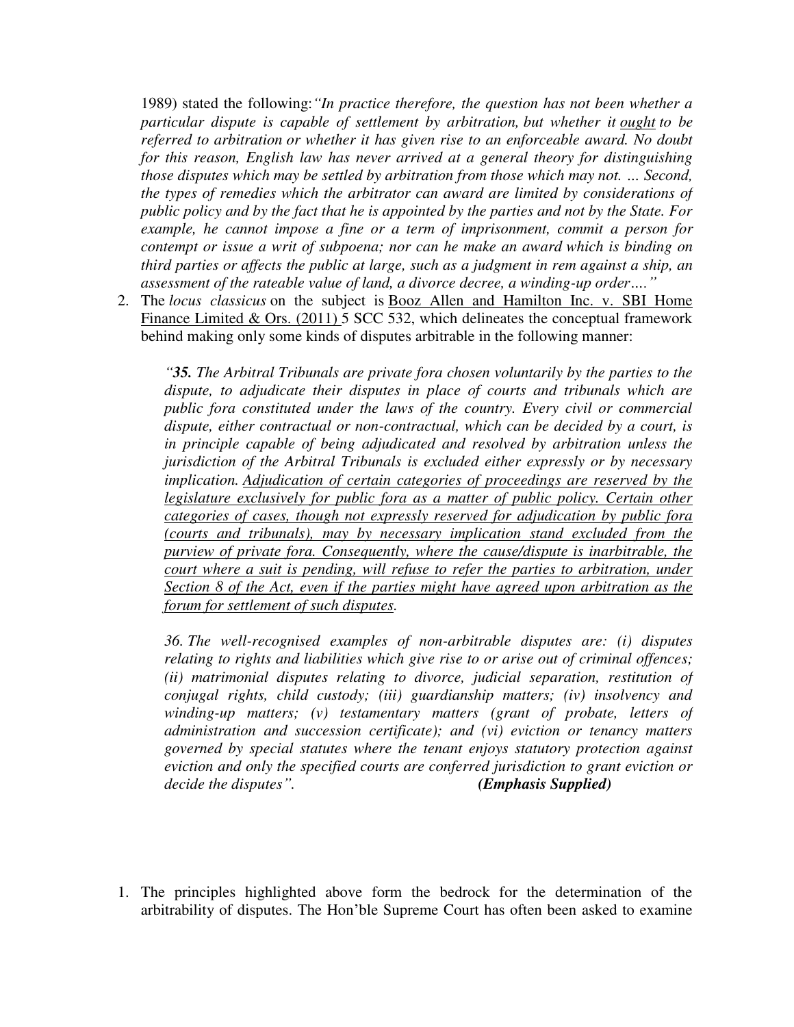1989) stated the following:*"In practice therefore, the question has not been whether a particular dispute is capable of settlement by arbitration, but whether it ought to be referred to arbitration or whether it has given rise to an enforceable award. No doubt for this reason, English law has never arrived at a general theory for distinguishing those disputes which may be settled by arbitration from those which may not. … Second, the types of remedies which the arbitrator can award are limited by considerations of public policy and by the fact that he is appointed by the parties and not by the State. For example, he cannot impose a fine or a term of imprisonment, commit a person for contempt or issue a writ of subpoena; nor can he make an award which is binding on third parties or affects the public at large, such as a judgment in rem against a ship, an assessment of the rateable value of land, a divorce decree, a winding-up order…."*

2. The *locus classicus* on the subject is Booz Allen and Hamilton Inc. v. SBI Home Finance Limited & Ors. (2011) 5 SCC 532, which delineates the conceptual framework behind making only some kinds of disputes arbitrable in the following manner:

*"35. The Arbitral Tribunals are private fora chosen voluntarily by the parties to the dispute, to adjudicate their disputes in place of courts and tribunals which are public fora constituted under the laws of the country. Every civil or commercial dispute, either contractual or non-contractual, which can be decided by a court, is in principle capable of being adjudicated and resolved by arbitration unless the jurisdiction of the Arbitral Tribunals is excluded either expressly or by necessary implication. Adjudication of certain categories of proceedings are reserved by the legislature exclusively for public fora as a matter of public policy. Certain other categories of cases, though not expressly reserved for adjudication by public fora (courts and tribunals), may by necessary implication stand excluded from the purview of private fora. Consequently, where the cause/dispute is inarbitrable, the court where a suit is pending, will refuse to refer the parties to arbitration, under Section 8 of the Act, even if the parties might have agreed upon arbitration as the forum for settlement of such disputes.*

*36. The well-recognised examples of non-arbitrable disputes are: (i) disputes relating to rights and liabilities which give rise to or arise out of criminal offences; (ii) matrimonial disputes relating to divorce, judicial separation, restitution of conjugal rights, child custody; (iii) guardianship matters; (iv) insolvency and winding-up matters; (v) testamentary matters (grant of probate, letters of administration and succession certificate); and (vi) eviction or tenancy matters governed by special statutes where the tenant enjoys statutory protection against eviction and only the specified courts are conferred jurisdiction to grant eviction or decide the disputes". (Emphasis Supplied)*

1. The principles highlighted above form the bedrock for the determination of the arbitrability of disputes. The Hon'ble Supreme Court has often been asked to examine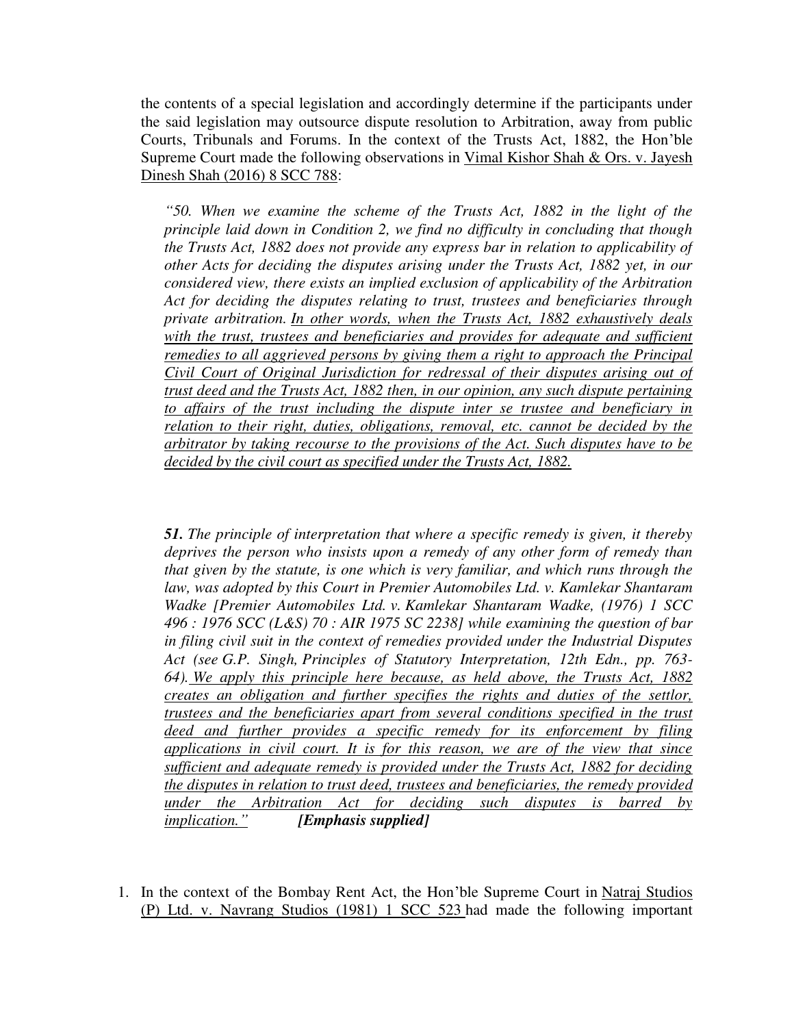the contents of a special legislation and accordingly determine if the participants under the said legislation may outsource dispute resolution to Arbitration, away from public Courts, Tribunals and Forums. In the context of the Trusts Act, 1882, the Hon'ble Supreme Court made the following observations in Vimal Kishor Shah & Ors. v. Jayesh Dinesh Shah (2016) 8 SCC 788:

*"50. When we examine the scheme of the Trusts Act, 1882 in the light of the principle laid down in Condition 2, we find no difficulty in concluding that though the Trusts Act, 1882 does not provide any express bar in relation to applicability of other Acts for deciding the disputes arising under the Trusts Act, 1882 yet, in our considered view, there exists an implied exclusion of applicability of the Arbitration Act for deciding the disputes relating to trust, trustees and beneficiaries through private arbitration. In other words, when the Trusts Act, 1882 exhaustively deals*  with the trust, trustees and beneficiaries and provides for adequate and sufficient *remedies to all aggrieved persons by giving them a right to approach the Principal Civil Court of Original Jurisdiction for redressal of their disputes arising out of trust deed and the Trusts Act, 1882 then, in our opinion, any such dispute pertaining to affairs of the trust including the dispute inter se trustee and beneficiary in relation to their right, duties, obligations, removal, etc. cannot be decided by the arbitrator by taking recourse to the provisions of the Act. Such disputes have to be decided by the civil court as specified under the Trusts Act, 1882.*

*51. The principle of interpretation that where a specific remedy is given, it thereby deprives the person who insists upon a remedy of any other form of remedy than that given by the statute, is one which is very familiar, and which runs through the law, was adopted by this Court in Premier Automobiles Ltd. v. Kamlekar Shantaram Wadke [Premier Automobiles Ltd. v. Kamlekar Shantaram Wadke, (1976) 1 SCC 496 : 1976 SCC (L&S) 70 : AIR 1975 SC 2238] while examining the question of bar in filing civil suit in the context of remedies provided under the Industrial Disputes Act (see G.P. Singh, Principles of Statutory Interpretation, 12th Edn., pp. 763- 64). We apply this principle here because, as held above, the Trusts Act, 1882 creates an obligation and further specifies the rights and duties of the settlor, trustees and the beneficiaries apart from several conditions specified in the trust deed and further provides a specific remedy for its enforcement by filing applications in civil court. It is for this reason, we are of the view that since sufficient and adequate remedy is provided under the Trusts Act, 1882 for deciding the disputes in relation to trust deed, trustees and beneficiaries, the remedy provided under the Arbitration Act for deciding such disputes is barred by implication." [Emphasis supplied]*

1. In the context of the Bombay Rent Act, the Hon'ble Supreme Court in Natraj Studios (P) Ltd. v. Navrang Studios (1981) 1 SCC 523 had made the following important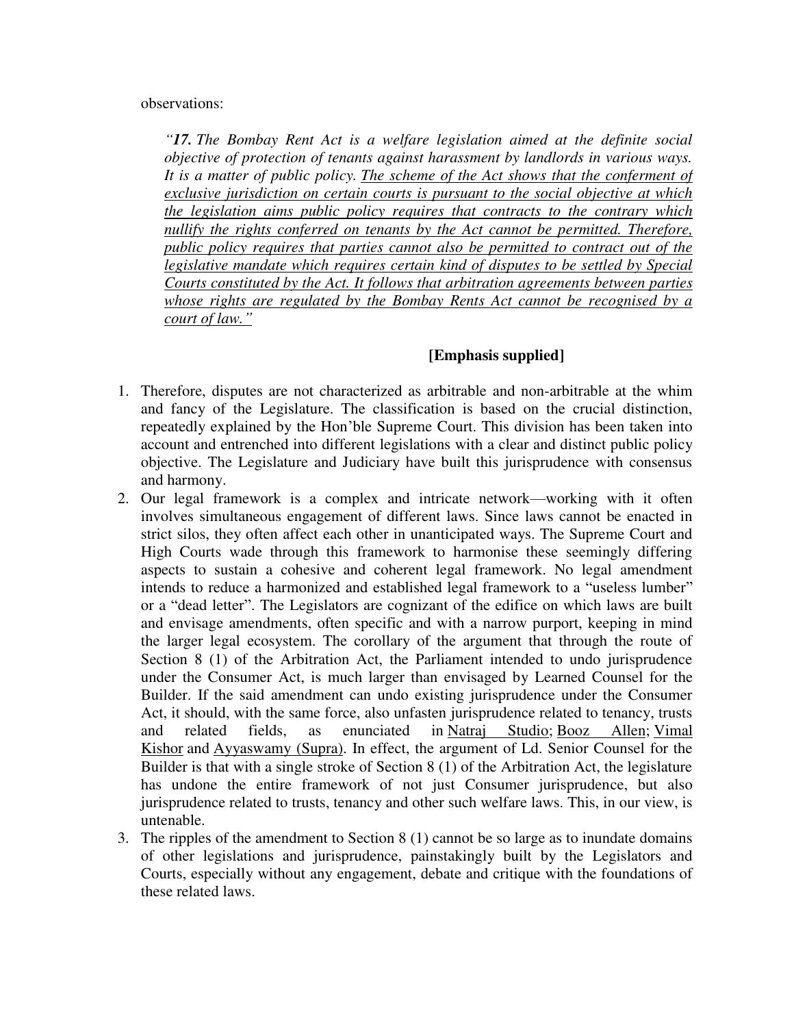observations:

*"17. The Bombay Rent Act is a welfare legislation aimed at the definite social objective of protection of tenants against harassment by landlords in various ways.*  It is a matter of public policy. The scheme of the Act shows that the conferment of *exclusive jurisdiction on certain courts is pursuant to the social objective at which the legislation aims public policy requires that contracts to the contrary which nullify the rights conferred on tenants by the Act cannot be permitted. Therefore, public policy requires that parties cannot also be permitted to contract out of the legislative mandate which requires certain kind of disputes to be settled by Special Courts constituted by the Act. It follows that arbitration agreements between parties whose rights are regulated by the Bombay Rents Act cannot be recognised by a court of law."*

# **[Emphasis supplied]**

- 1. Therefore, disputes are not characterized as arbitrable and non-arbitrable at the whim and fancy of the Legislature. The classification is based on the crucial distinction, repeatedly explained by the Hon'ble Supreme Court. This division has been taken into account and entrenched into different legislations with a clear and distinct public policy objective. The Legislature and Judiciary have built this jurisprudence with consensus and harmony.
- 2. Our legal framework is a complex and intricate network—working with it often involves simultaneous engagement of different laws. Since laws cannot be enacted in strict silos, they often affect each other in unanticipated ways. The Supreme Court and High Courts wade through this framework to harmonise these seemingly differing aspects to sustain a cohesive and coherent legal framework. No legal amendment intends to reduce a harmonized and established legal framework to a "useless lumber" or a "dead letter". The Legislators are cognizant of the edifice on which laws are built and envisage amendments, often specific and with a narrow purport, keeping in mind the larger legal ecosystem. The corollary of the argument that through the route of Section 8 (1) of the Arbitration Act, the Parliament intended to undo jurisprudence under the Consumer Act, is much larger than envisaged by Learned Counsel for the Builder. If the said amendment can undo existing jurisprudence under the Consumer Act, it should, with the same force, also unfasten jurisprudence related to tenancy, trusts and related fields, as enunciated in Natraj Studio; Booz Allen; Vimal Kishor and Ayyaswamy (Supra). In effect, the argument of Ld. Senior Counsel for the Builder is that with a single stroke of Section 8 (1) of the Arbitration Act, the legislature has undone the entire framework of not just Consumer jurisprudence, but also jurisprudence related to trusts, tenancy and other such welfare laws. This, in our view, is untenable.
- 3. The ripples of the amendment to Section 8 (1) cannot be so large as to inundate domains of other legislations and jurisprudence, painstakingly built by the Legislators and Courts, especially without any engagement, debate and critique with the foundations of these related laws.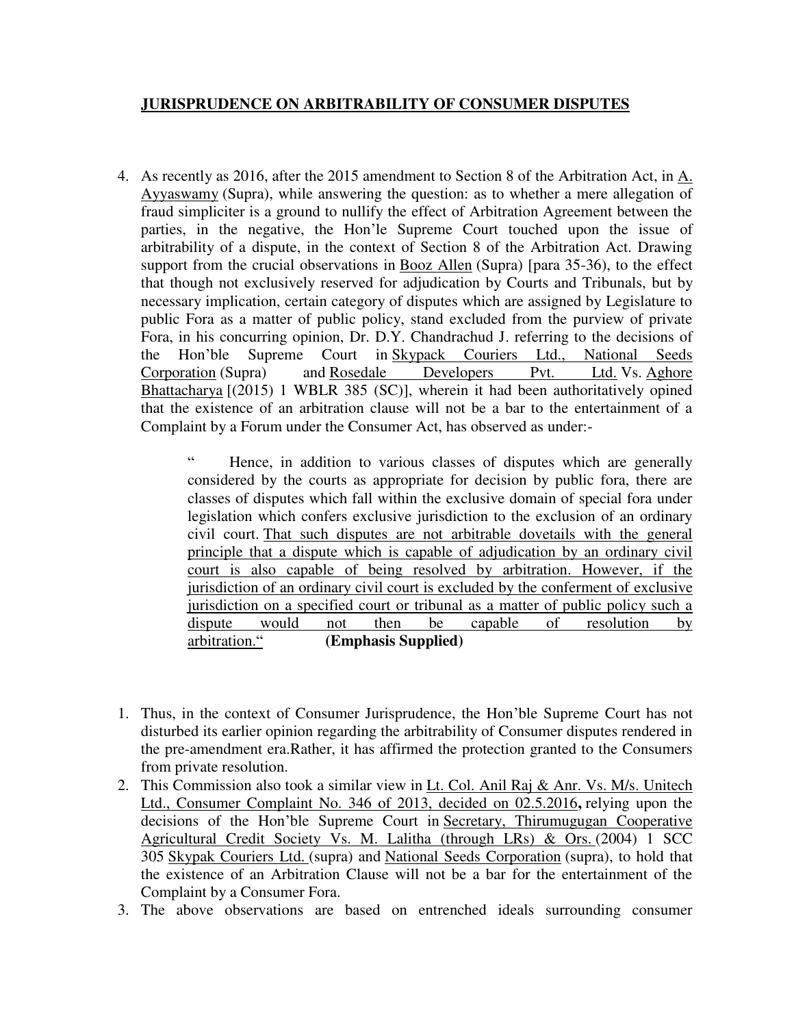# **JURISPRUDENCE ON ARBITRABILITY OF CONSUMER DISPUTES**

4. As recently as 2016, after the 2015 amendment to Section 8 of the Arbitration Act, in A. Ayyaswamy (Supra), while answering the question: as to whether a mere allegation of fraud simpliciter is a ground to nullify the effect of Arbitration Agreement between the parties, in the negative, the Hon'le Supreme Court touched upon the issue of arbitrability of a dispute, in the context of Section 8 of the Arbitration Act. Drawing support from the crucial observations in Booz Allen (Supra) [para 35-36), to the effect that though not exclusively reserved for adjudication by Courts and Tribunals, but by necessary implication, certain category of disputes which are assigned by Legislature to public Fora as a matter of public policy, stand excluded from the purview of private Fora, in his concurring opinion, Dr. D.Y. Chandrachud J. referring to the decisions of the Hon'ble Supreme Court in Skypack Couriers Ltd., National Seeds Corporation (Supra) and Rosedale Developers Pvt. Ltd. Vs. Aghore Bhattacharya [(2015) 1 WBLR 385 (SC)], wherein it had been authoritatively opined that the existence of an arbitration clause will not be a bar to the entertainment of a Complaint by a Forum under the Consumer Act, has observed as under:-

> Hence, in addition to various classes of disputes which are generally considered by the courts as appropriate for decision by public fora, there are classes of disputes which fall within the exclusive domain of special fora under legislation which confers exclusive jurisdiction to the exclusion of an ordinary civil court. That such disputes are not arbitrable dovetails with the general principle that a dispute which is capable of adjudication by an ordinary civil court is also capable of being resolved by arbitration. However, if the jurisdiction of an ordinary civil court is excluded by the conferment of exclusive jurisdiction on a specified court or tribunal as a matter of public policy such a dispute would not then be capable of resolution by arbitration." **(Emphasis Supplied)**

- 1. Thus, in the context of Consumer Jurisprudence, the Hon'ble Supreme Court has not disturbed its earlier opinion regarding the arbitrability of Consumer disputes rendered in the pre-amendment era.Rather, it has affirmed the protection granted to the Consumers from private resolution.
- 2. This Commission also took a similar view in Lt. Col. Anil Raj & Anr. Vs. M/s. Unitech Ltd., Consumer Complaint No. 346 of 2013, decided on 02.5.2016**,** relying upon the decisions of the Hon'ble Supreme Court in Secretary, Thirumugugan Cooperative Agricultural Credit Society Vs. M. Lalitha (through LRs) & Ors. (2004) 1 SCC 305 Skypak Couriers Ltd. (supra) and National Seeds Corporation (supra), to hold that the existence of an Arbitration Clause will not be a bar for the entertainment of the Complaint by a Consumer Fora.
- 3. The above observations are based on entrenched ideals surrounding consumer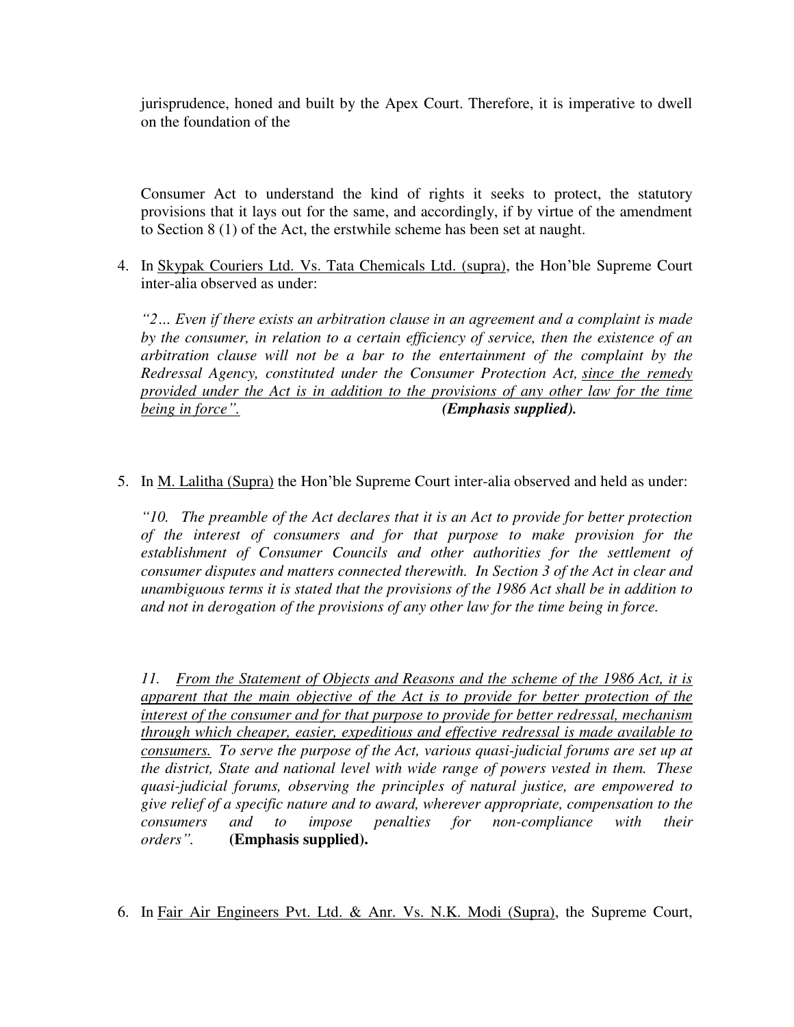jurisprudence, honed and built by the Apex Court. Therefore, it is imperative to dwell on the foundation of the

Consumer Act to understand the kind of rights it seeks to protect, the statutory provisions that it lays out for the same, and accordingly, if by virtue of the amendment to Section 8 (1) of the Act, the erstwhile scheme has been set at naught.

4. In Skypak Couriers Ltd. Vs. Tata Chemicals Ltd. (supra), the Hon'ble Supreme Court inter-alia observed as under:

*"2… Even if there exists an arbitration clause in an agreement and a complaint is made by the consumer, in relation to a certain efficiency of service, then the existence of an arbitration clause will not be a bar to the entertainment of the complaint by the Redressal Agency, constituted under the Consumer Protection Act, since the remedy provided under the Act is in addition to the provisions of any other law for the time being in force". (Emphasis supplied).*

5. In M. Lalitha (Supra) the Hon'ble Supreme Court inter-alia observed and held as under:

*"10. The preamble of the Act declares that it is an Act to provide for better protection of the interest of consumers and for that purpose to make provision for the establishment of Consumer Councils and other authorities for the settlement of consumer disputes and matters connected therewith. In Section 3 of the Act in clear and unambiguous terms it is stated that the provisions of the 1986 Act shall be in addition to and not in derogation of the provisions of any other law for the time being in force.*

*11. From the Statement of Objects and Reasons and the scheme of the 1986 Act, it is apparent that the main objective of the Act is to provide for better protection of the interest of the consumer and for that purpose to provide for better redressal, mechanism through which cheaper, easier, expeditious and effective redressal is made available to consumers. To serve the purpose of the Act, various quasi-judicial forums are set up at the district, State and national level with wide range of powers vested in them. These quasi-judicial forums, observing the principles of natural justice, are empowered to give relief of a specific nature and to award, wherever appropriate, compensation to the consumers and to impose penalties for non-compliance with their orders".* **(Emphasis supplied).**

6. In Fair Air Engineers Pvt. Ltd. & Anr. Vs. N.K. Modi (Supra), the Supreme Court,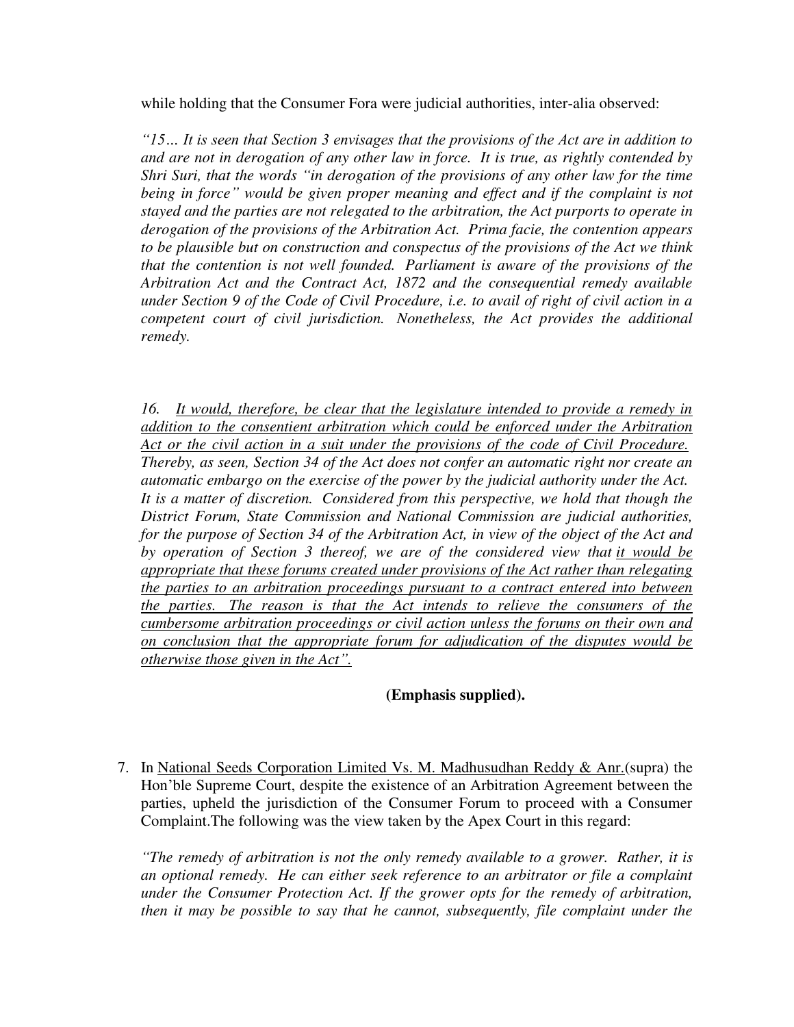while holding that the Consumer Fora were judicial authorities, inter-alia observed:

*"15… It is seen that Section 3 envisages that the provisions of the Act are in addition to and are not in derogation of any other law in force. It is true, as rightly contended by Shri Suri, that the words "in derogation of the provisions of any other law for the time being in force" would be given proper meaning and effect and if the complaint is not stayed and the parties are not relegated to the arbitration, the Act purports to operate in derogation of the provisions of the Arbitration Act. Prima facie, the contention appears to be plausible but on construction and conspectus of the provisions of the Act we think that the contention is not well founded. Parliament is aware of the provisions of the Arbitration Act and the Contract Act, 1872 and the consequential remedy available under Section 9 of the Code of Civil Procedure, i.e. to avail of right of civil action in a competent court of civil jurisdiction. Nonetheless, the Act provides the additional remedy.*

*16. It would, therefore, be clear that the legislature intended to provide a remedy in addition to the consentient arbitration which could be enforced under the Arbitration Act or the civil action in a suit under the provisions of the code of Civil Procedure. Thereby, as seen, Section 34 of the Act does not confer an automatic right nor create an automatic embargo on the exercise of the power by the judicial authority under the Act. It is a matter of discretion. Considered from this perspective, we hold that though the District Forum, State Commission and National Commission are judicial authorities, for the purpose of Section 34 of the Arbitration Act, in view of the object of the Act and by operation of Section 3 thereof, we are of the considered view that it would be appropriate that these forums created under provisions of the Act rather than relegating the parties to an arbitration proceedings pursuant to a contract entered into between the parties. The reason is that the Act intends to relieve the consumers of the cumbersome arbitration proceedings or civil action unless the forums on their own and on conclusion that the appropriate forum for adjudication of the disputes would be otherwise those given in the Act".*

# **(Emphasis supplied).**

7. In National Seeds Corporation Limited Vs. M. Madhusudhan Reddy & Anr.(supra) the Hon'ble Supreme Court, despite the existence of an Arbitration Agreement between the parties, upheld the jurisdiction of the Consumer Forum to proceed with a Consumer Complaint.The following was the view taken by the Apex Court in this regard:

*"The remedy of arbitration is not the only remedy available to a grower. Rather, it is an optional remedy. He can either seek reference to an arbitrator or file a complaint under the Consumer Protection Act. If the grower opts for the remedy of arbitration, then it may be possible to say that he cannot, subsequently, file complaint under the*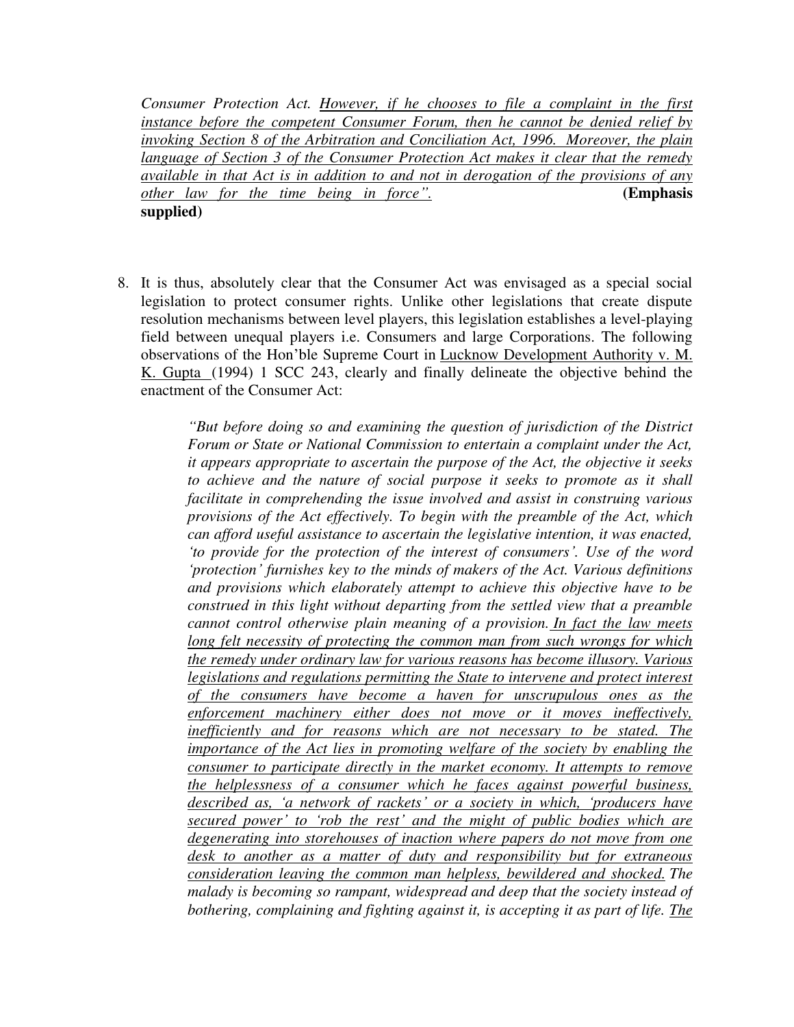*Consumer Protection Act. However, if he chooses to file a complaint in the first instance before the competent Consumer Forum, then he cannot be denied relief by invoking Section 8 of the Arbitration and Conciliation Act, 1996. Moreover, the plain language of Section 3 of the Consumer Protection Act makes it clear that the remedy available in that Act is in addition to and not in derogation of the provisions of any other law for the time being in force".* **(Emphasis supplied)**

8. It is thus, absolutely clear that the Consumer Act was envisaged as a special social legislation to protect consumer rights. Unlike other legislations that create dispute resolution mechanisms between level players, this legislation establishes a level-playing field between unequal players i.e. Consumers and large Corporations. The following observations of the Hon'ble Supreme Court in Lucknow Development Authority v. M. K. Gupta (1994) 1 SCC 243, clearly and finally delineate the objective behind the enactment of the Consumer Act:

> *"But before doing so and examining the question of jurisdiction of the District Forum or State or National Commission to entertain a complaint under the Act, it appears appropriate to ascertain the purpose of the Act, the objective it seeks to achieve and the nature of social purpose it seeks to promote as it shall facilitate in comprehending the issue involved and assist in construing various provisions of the Act effectively. To begin with the preamble of the Act, which can afford useful assistance to ascertain the legislative intention, it was enacted, 'to provide for the protection of the interest of consumers'. Use of the word 'protection' furnishes key to the minds of makers of the Act. Various definitions and provisions which elaborately attempt to achieve this objective have to be construed in this light without departing from the settled view that a preamble cannot control otherwise plain meaning of a provision. In fact the law meets long felt necessity of protecting the common man from such wrongs for which the remedy under ordinary law for various reasons has become illusory. Various legislations and regulations permitting the State to intervene and protect interest of the consumers have become a haven for unscrupulous ones as the enforcement machinery either does not move or it moves ineffectively, inefficiently and for reasons which are not necessary to be stated. The importance of the Act lies in promoting welfare of the society by enabling the consumer to participate directly in the market economy. It attempts to remove the helplessness of a consumer which he faces against powerful business, described as, 'a network of rackets' or a society in which, 'producers have secured power' to 'rob the rest' and the might of public bodies which are degenerating into storehouses of inaction where papers do not move from one desk to another as a matter of duty and responsibility but for extraneous consideration leaving the common man helpless, bewildered and shocked. The malady is becoming so rampant, widespread and deep that the society instead of bothering, complaining and fighting against it, is accepting it as part of life. The*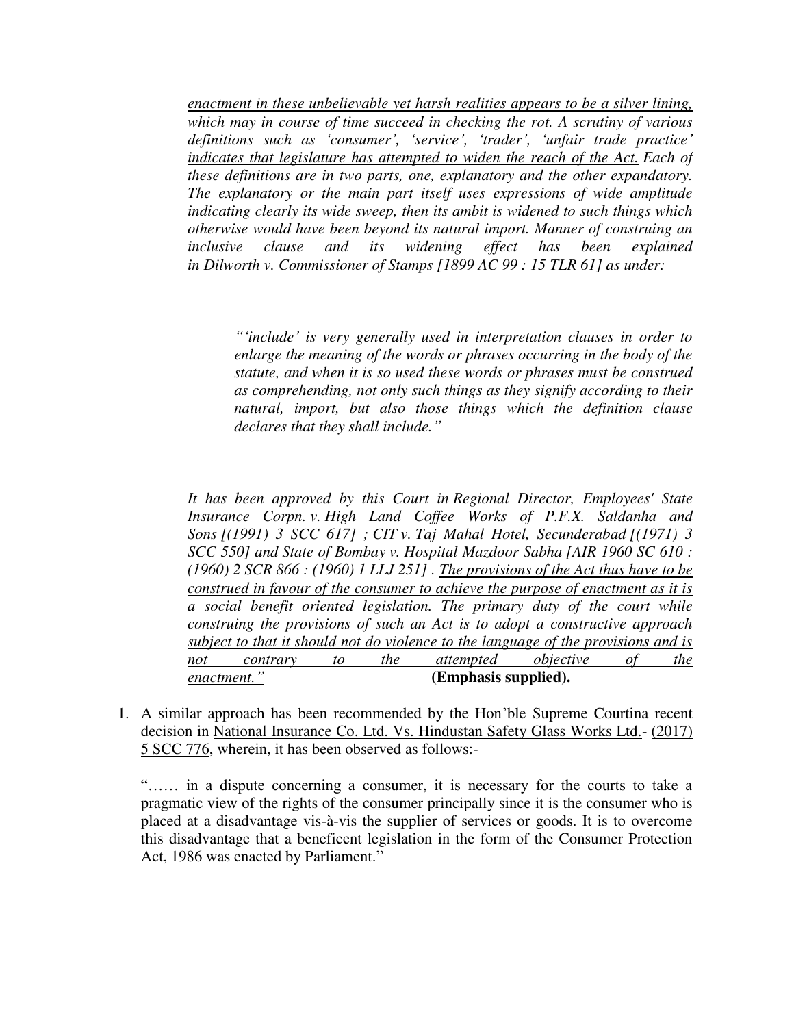*enactment in these unbelievable yet harsh realities appears to be a silver lining, which may in course of time succeed in checking the rot. A scrutiny of various definitions such as 'consumer', 'service', 'trader', 'unfair trade practice' indicates that legislature has attempted to widen the reach of the Act. Each of these definitions are in two parts, one, explanatory and the other expandatory. The explanatory or the main part itself uses expressions of wide amplitude indicating clearly its wide sweep, then its ambit is widened to such things which otherwise would have been beyond its natural import. Manner of construing an inclusive clause and its widening effect has been explained in Dilworth v. Commissioner of Stamps [1899 AC 99 : 15 TLR 61] as under:*

*"'include' is very generally used in interpretation clauses in order to enlarge the meaning of the words or phrases occurring in the body of the statute, and when it is so used these words or phrases must be construed as comprehending, not only such things as they signify according to their natural, import, but also those things which the definition clause declares that they shall include."*

*It has been approved by this Court in Regional Director, Employees' State Insurance Corpn. v. High Land Coffee Works of P.F.X. Saldanha and Sons [(1991) 3 SCC 617] ; CIT v. Taj Mahal Hotel, Secunderabad [(1971) 3 SCC 550] and State of Bombay v. Hospital Mazdoor Sabha [AIR 1960 SC 610 : (1960) 2 SCR 866 : (1960) 1 LLJ 251] . The provisions of the Act thus have to be construed in favour of the consumer to achieve the purpose of enactment as it is a social benefit oriented legislation. The primary duty of the court while construing the provisions of such an Act is to adopt a constructive approach subject to that it should not do violence to the language of the provisions and is not contrary to the attempted objective of the enactment."* **(Emphasis supplied).**

1. A similar approach has been recommended by the Hon'ble Supreme Courtina recent decision in National Insurance Co. Ltd. Vs. Hindustan Safety Glass Works Ltd.- (2017) 5 SCC 776, wherein, it has been observed as follows:-

"…… in a dispute concerning a consumer, it is necessary for the courts to take a pragmatic view of the rights of the consumer principally since it is the consumer who is placed at a disadvantage vis-à-vis the supplier of services or goods. It is to overcome this disadvantage that a beneficent legislation in the form of the Consumer Protection Act, 1986 was enacted by Parliament."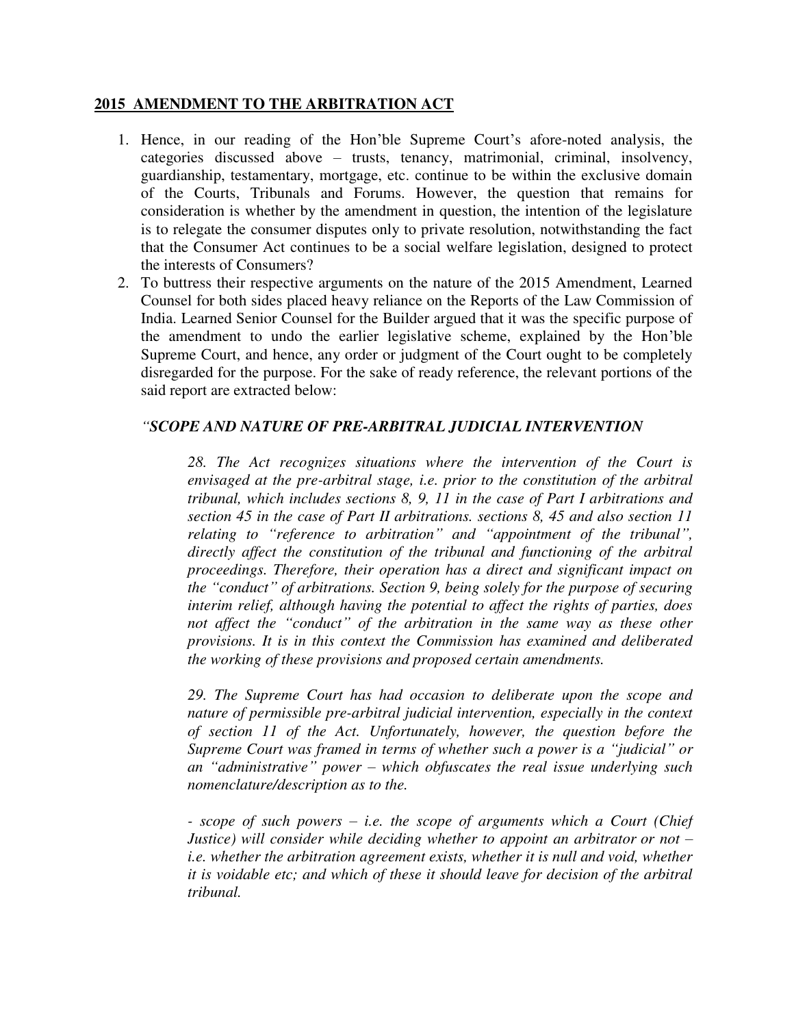### **2015 AMENDMENT TO THE ARBITRATION ACT**

- 1. Hence, in our reading of the Hon'ble Supreme Court's afore-noted analysis, the categories discussed above – trusts, tenancy, matrimonial, criminal, insolvency, guardianship, testamentary, mortgage, etc. continue to be within the exclusive domain of the Courts, Tribunals and Forums. However, the question that remains for consideration is whether by the amendment in question, the intention of the legislature is to relegate the consumer disputes only to private resolution, notwithstanding the fact that the Consumer Act continues to be a social welfare legislation, designed to protect the interests of Consumers?
- 2. To buttress their respective arguments on the nature of the 2015 Amendment, Learned Counsel for both sides placed heavy reliance on the Reports of the Law Commission of India. Learned Senior Counsel for the Builder argued that it was the specific purpose of the amendment to undo the earlier legislative scheme, explained by the Hon'ble Supreme Court, and hence, any order or judgment of the Court ought to be completely disregarded for the purpose. For the sake of ready reference, the relevant portions of the said report are extracted below:

# *"SCOPE AND NATURE OF PRE-ARBITRAL JUDICIAL INTERVENTION*

*28. The Act recognizes situations where the intervention of the Court is envisaged at the pre-arbitral stage, i.e. prior to the constitution of the arbitral tribunal, which includes sections 8, 9, 11 in the case of Part I arbitrations and section 45 in the case of Part II arbitrations. sections 8, 45 and also section 11 relating to "reference to arbitration" and "appointment of the tribunal", directly affect the constitution of the tribunal and functioning of the arbitral proceedings. Therefore, their operation has a direct and significant impact on the "conduct" of arbitrations. Section 9, being solely for the purpose of securing interim relief, although having the potential to affect the rights of parties, does not affect the "conduct" of the arbitration in the same way as these other provisions. It is in this context the Commission has examined and deliberated the working of these provisions and proposed certain amendments.*

*29. The Supreme Court has had occasion to deliberate upon the scope and nature of permissible pre-arbitral judicial intervention, especially in the context of section 11 of the Act. Unfortunately, however, the question before the Supreme Court was framed in terms of whether such a power is a "judicial" or an "administrative" power – which obfuscates the real issue underlying such nomenclature/description as to the.*

*- scope of such powers – i.e. the scope of arguments which a Court (Chief Justice) will consider while deciding whether to appoint an arbitrator or not – i.e. whether the arbitration agreement exists, whether it is null and void, whether it is voidable etc; and which of these it should leave for decision of the arbitral tribunal.*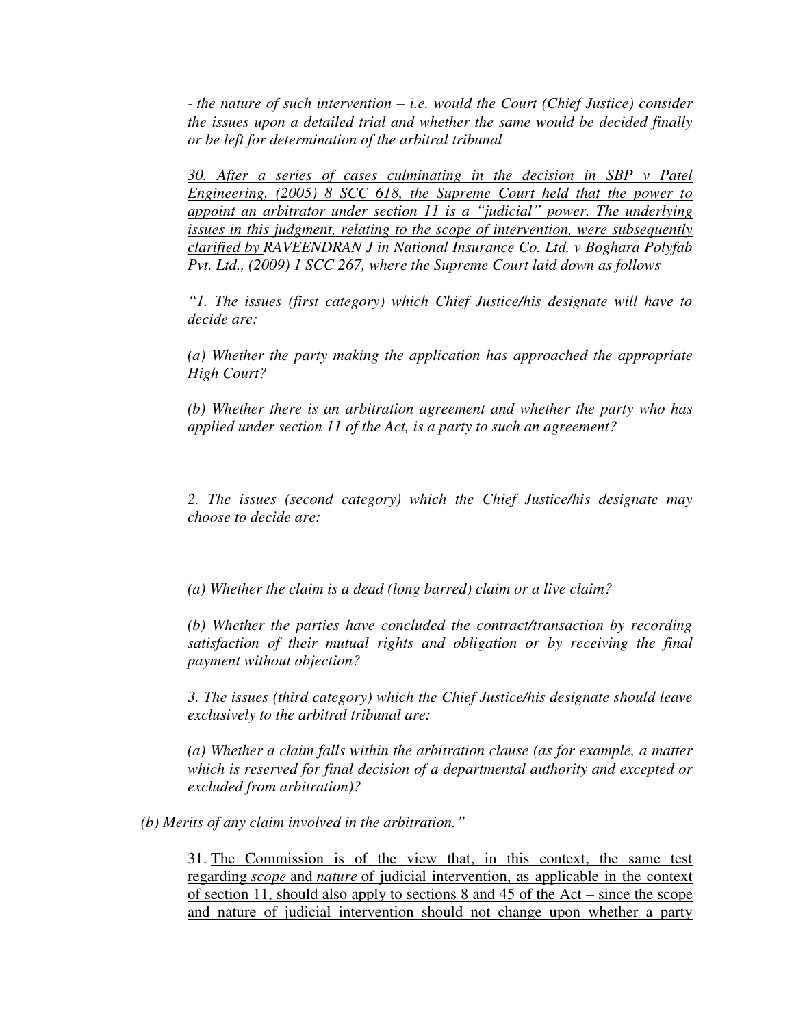*- the nature of such intervention – i.e. would the Court (Chief Justice) consider the issues upon a detailed trial and whether the same would be decided finally or be left for determination of the arbitral tribunal*

*30. After a series of cases culminating in the decision in SBP v Patel Engineering, (2005) 8 SCC 618, the Supreme Court held that the power to appoint an arbitrator under section 11 is a "judicial" power. The underlying issues in this judgment, relating to the scope of intervention, were subsequently clarified by RAVEENDRAN J in National Insurance Co. Ltd. v Boghara Polyfab Pvt. Ltd., (2009) 1 SCC 267, where the Supreme Court laid down as follows –* 

*"1. The issues (first category) which Chief Justice/his designate will have to decide are:*

*(a) Whether the party making the application has approached the appropriate High Court?*

*(b) Whether there is an arbitration agreement and whether the party who has applied under section 11 of the Act, is a party to such an agreement?*

*2. The issues (second category) which the Chief Justice/his designate may choose to decide are:*

*(a) Whether the claim is a dead (long barred) claim or a live claim?*

*(b) Whether the parties have concluded the contract/transaction by recording satisfaction of their mutual rights and obligation or by receiving the final payment without objection?*

*3. The issues (third category) which the Chief Justice/his designate should leave exclusively to the arbitral tribunal are:*

*(a) Whether a claim falls within the arbitration clause (as for example, a matter which is reserved for final decision of a departmental authority and excepted or excluded from arbitration)?*

*(b) Merits of any claim involved in the arbitration."*

31. The Commission is of the view that, in this context, the same test regarding *scope* and *nature* of judicial intervention, as applicable in the context of section 11, should also apply to sections 8 and 45 of the Act – since the scope and nature of judicial intervention should not change upon whether a party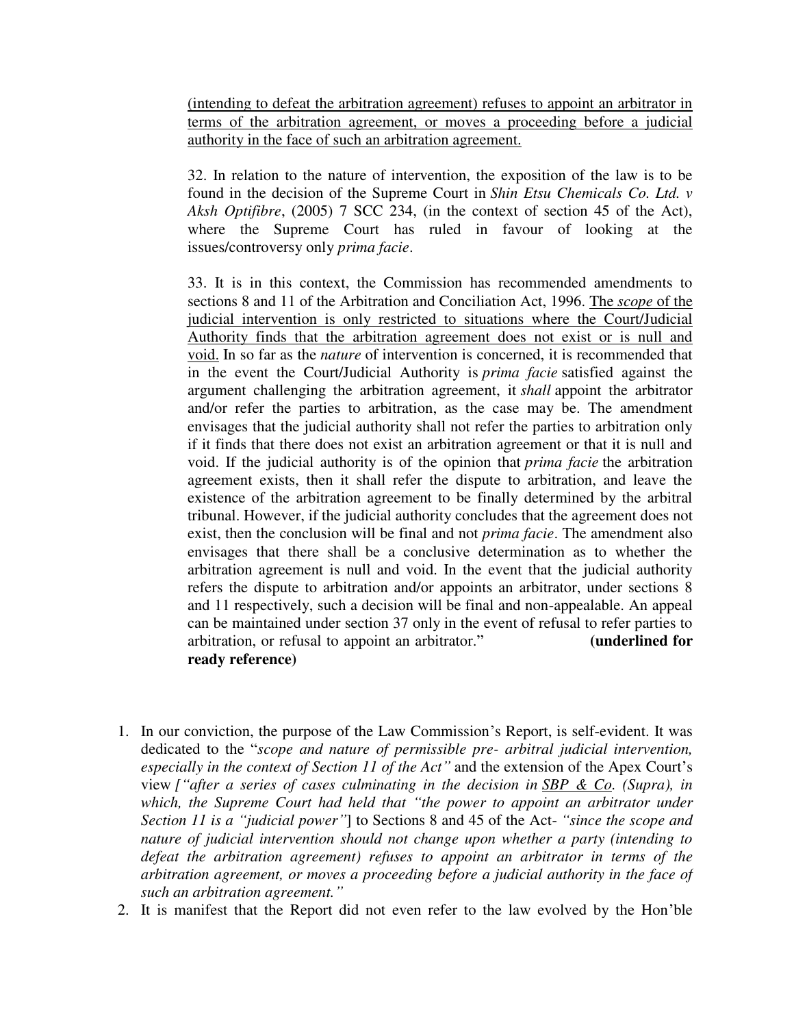(intending to defeat the arbitration agreement) refuses to appoint an arbitrator in terms of the arbitration agreement, or moves a proceeding before a judicial authority in the face of such an arbitration agreement.

32. In relation to the nature of intervention, the exposition of the law is to be found in the decision of the Supreme Court in *Shin Etsu Chemicals Co. Ltd. v Aksh Optifibre*, (2005) 7 SCC 234, (in the context of section 45 of the Act), where the Supreme Court has ruled in favour of looking at the issues/controversy only *prima facie*.

33. It is in this context, the Commission has recommended amendments to sections 8 and 11 of the Arbitration and Conciliation Act, 1996. The *scope* of the judicial intervention is only restricted to situations where the Court/Judicial Authority finds that the arbitration agreement does not exist or is null and void. In so far as the *nature* of intervention is concerned, it is recommended that in the event the Court/Judicial Authority is *prima facie* satisfied against the argument challenging the arbitration agreement, it *shall* appoint the arbitrator and/or refer the parties to arbitration, as the case may be. The amendment envisages that the judicial authority shall not refer the parties to arbitration only if it finds that there does not exist an arbitration agreement or that it is null and void. If the judicial authority is of the opinion that *prima facie* the arbitration agreement exists, then it shall refer the dispute to arbitration, and leave the existence of the arbitration agreement to be finally determined by the arbitral tribunal. However, if the judicial authority concludes that the agreement does not exist, then the conclusion will be final and not *prima facie*. The amendment also envisages that there shall be a conclusive determination as to whether the arbitration agreement is null and void. In the event that the judicial authority refers the dispute to arbitration and/or appoints an arbitrator, under sections 8 and 11 respectively, such a decision will be final and non-appealable. An appeal can be maintained under section 37 only in the event of refusal to refer parties to arbitration, or refusal to appoint an arbitrator." **(underlined for ready reference)**

- 1. In our conviction, the purpose of the Law Commission's Report, is self-evident. It was dedicated to the "*scope and nature of permissible pre- arbitral judicial intervention, especially in the context of Section 11 of the Act"* and the extension of the Apex Court's view *["after a series of cases culminating in the decision in SBP & Co. (Supra), in which, the Supreme Court had held that "the power to appoint an arbitrator under Section 11 is a "judicial power"*] to Sections 8 and 45 of the Act- *"since the scope and nature of judicial intervention should not change upon whether a party (intending to defeat the arbitration agreement) refuses to appoint an arbitrator in terms of the arbitration agreement, or moves a proceeding before a judicial authority in the face of such an arbitration agreement."*
- 2. It is manifest that the Report did not even refer to the law evolved by the Hon'ble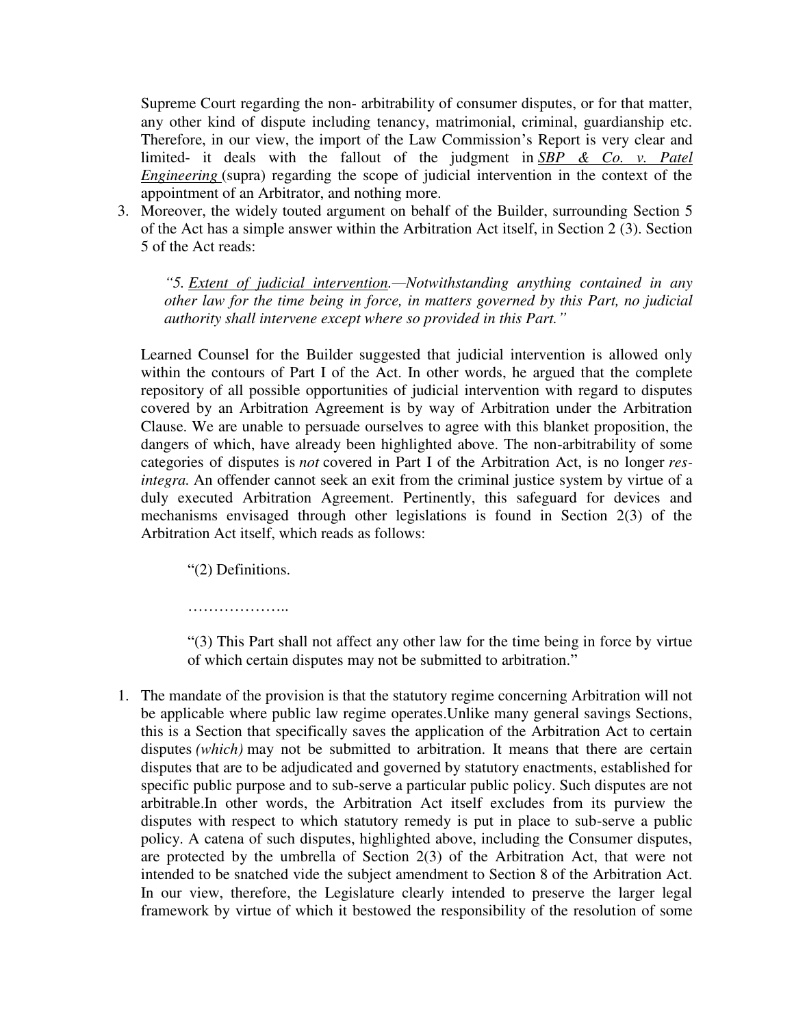Supreme Court regarding the non- arbitrability of consumer disputes, or for that matter, any other kind of dispute including tenancy, matrimonial, criminal, guardianship etc. Therefore, in our view, the import of the Law Commission's Report is very clear and limited- it deals with the fallout of the judgment in *SBP & Co. v. Patel Engineering* (supra) regarding the scope of judicial intervention in the context of the appointment of an Arbitrator, and nothing more.

3. Moreover, the widely touted argument on behalf of the Builder, surrounding Section 5 of the Act has a simple answer within the Arbitration Act itself, in Section 2 (3). Section 5 of the Act reads:

*"5. Extent of judicial intervention.—Notwithstanding anything contained in any other law for the time being in force, in matters governed by this Part, no judicial authority shall intervene except where so provided in this Part."*

Learned Counsel for the Builder suggested that judicial intervention is allowed only within the contours of Part I of the Act. In other words, he argued that the complete repository of all possible opportunities of judicial intervention with regard to disputes covered by an Arbitration Agreement is by way of Arbitration under the Arbitration Clause. We are unable to persuade ourselves to agree with this blanket proposition, the dangers of which, have already been highlighted above. The non-arbitrability of some categories of disputes is *not* covered in Part I of the Arbitration Act, is no longer *resintegra.* An offender cannot seek an exit from the criminal justice system by virtue of a duly executed Arbitration Agreement. Pertinently, this safeguard for devices and mechanisms envisaged through other legislations is found in Section 2(3) of the Arbitration Act itself, which reads as follows:

"(2) Definitions.

………………..

"(3) This Part shall not affect any other law for the time being in force by virtue of which certain disputes may not be submitted to arbitration."

1. The mandate of the provision is that the statutory regime concerning Arbitration will not be applicable where public law regime operates.Unlike many general savings Sections, this is a Section that specifically saves the application of the Arbitration Act to certain disputes *(which)* may not be submitted to arbitration. It means that there are certain disputes that are to be adjudicated and governed by statutory enactments, established for specific public purpose and to sub-serve a particular public policy. Such disputes are not arbitrable.In other words, the Arbitration Act itself excludes from its purview the disputes with respect to which statutory remedy is put in place to sub-serve a public policy. A catena of such disputes, highlighted above, including the Consumer disputes, are protected by the umbrella of Section 2(3) of the Arbitration Act, that were not intended to be snatched vide the subject amendment to Section 8 of the Arbitration Act. In our view, therefore, the Legislature clearly intended to preserve the larger legal framework by virtue of which it bestowed the responsibility of the resolution of some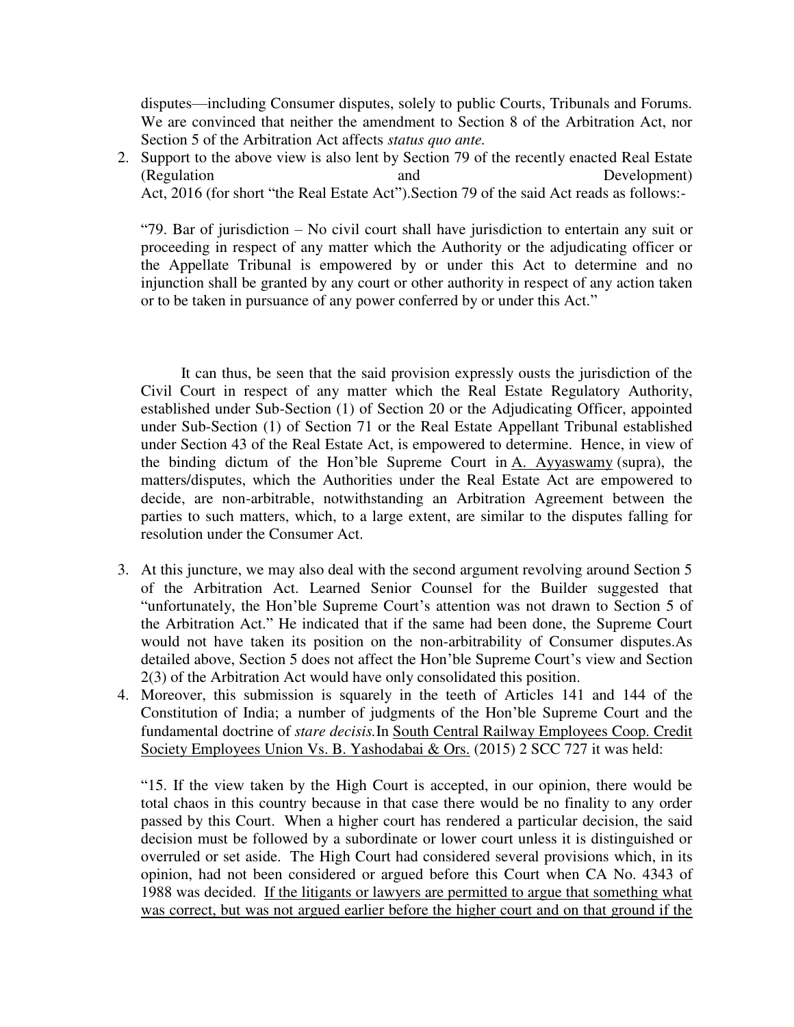disputes—including Consumer disputes, solely to public Courts, Tribunals and Forums. We are convinced that neither the amendment to Section 8 of the Arbitration Act, nor Section 5 of the Arbitration Act affects *status quo ante.*

2. Support to the above view is also lent by Section 79 of the recently enacted Real Estate (Regulation and Development) Act, 2016 (for short "the Real Estate Act").Section 79 of the said Act reads as follows:-

"79. Bar of jurisdiction – No civil court shall have jurisdiction to entertain any suit or proceeding in respect of any matter which the Authority or the adjudicating officer or the Appellate Tribunal is empowered by or under this Act to determine and no injunction shall be granted by any court or other authority in respect of any action taken or to be taken in pursuance of any power conferred by or under this Act."

 It can thus, be seen that the said provision expressly ousts the jurisdiction of the Civil Court in respect of any matter which the Real Estate Regulatory Authority, established under Sub-Section (1) of Section 20 or the Adjudicating Officer, appointed under Sub-Section (1) of Section 71 or the Real Estate Appellant Tribunal established under Section 43 of the Real Estate Act, is empowered to determine. Hence, in view of the binding dictum of the Hon'ble Supreme Court in  $A$ . Ayyaswamy (supra), the matters/disputes, which the Authorities under the Real Estate Act are empowered to decide, are non-arbitrable, notwithstanding an Arbitration Agreement between the parties to such matters, which, to a large extent, are similar to the disputes falling for resolution under the Consumer Act.

- 3. At this juncture, we may also deal with the second argument revolving around Section 5 of the Arbitration Act. Learned Senior Counsel for the Builder suggested that "unfortunately, the Hon'ble Supreme Court's attention was not drawn to Section 5 of the Arbitration Act." He indicated that if the same had been done, the Supreme Court would not have taken its position on the non-arbitrability of Consumer disputes.As detailed above, Section 5 does not affect the Hon'ble Supreme Court's view and Section 2(3) of the Arbitration Act would have only consolidated this position.
- 4. Moreover, this submission is squarely in the teeth of Articles 141 and 144 of the Constitution of India; a number of judgments of the Hon'ble Supreme Court and the fundamental doctrine of *stare decisis.*In South Central Railway Employees Coop. Credit Society Employees Union Vs. B. Yashodabai & Ors. (2015) 2 SCC 727 it was held:

"15. If the view taken by the High Court is accepted, in our opinion, there would be total chaos in this country because in that case there would be no finality to any order passed by this Court. When a higher court has rendered a particular decision, the said decision must be followed by a subordinate or lower court unless it is distinguished or overruled or set aside. The High Court had considered several provisions which, in its opinion, had not been considered or argued before this Court when CA No. 4343 of 1988 was decided. If the litigants or lawyers are permitted to argue that something what was correct, but was not argued earlier before the higher court and on that ground if the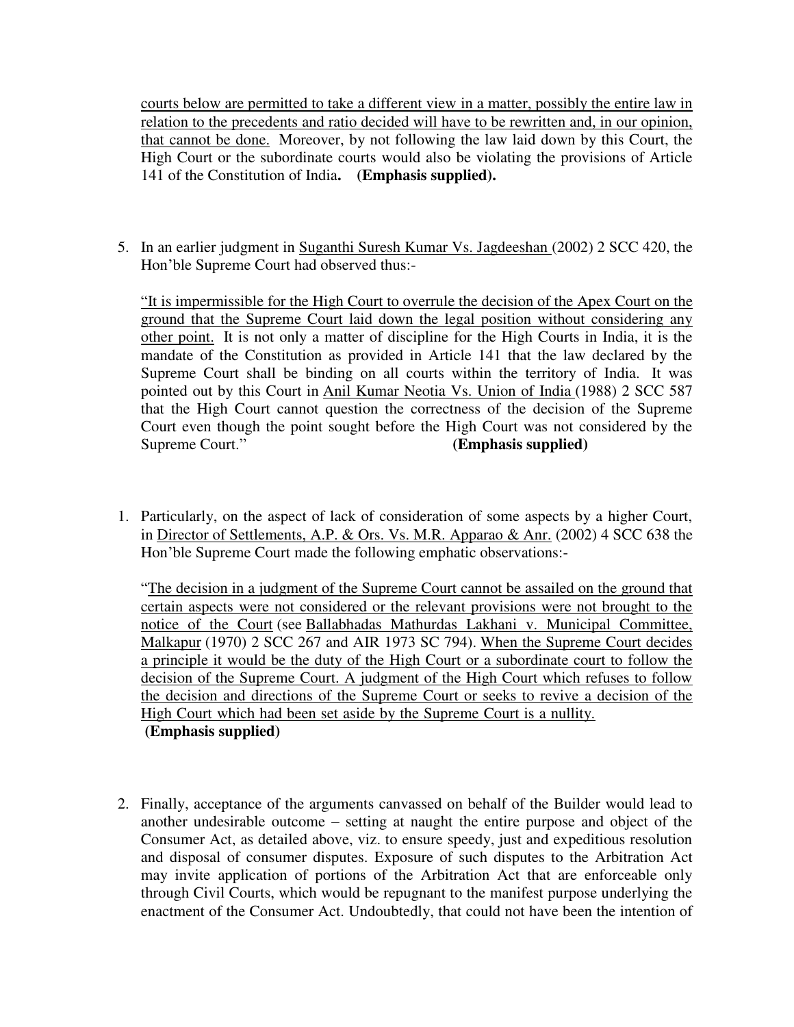courts below are permitted to take a different view in a matter, possibly the entire law in relation to the precedents and ratio decided will have to be rewritten and, in our opinion, that cannot be done. Moreover, by not following the law laid down by this Court, the High Court or the subordinate courts would also be violating the provisions of Article 141 of the Constitution of India**. (Emphasis supplied).**

5. In an earlier judgment in Suganthi Suresh Kumar Vs. Jagdeeshan (2002) 2 SCC 420, the Hon'ble Supreme Court had observed thus:-

"It is impermissible for the High Court to overrule the decision of the Apex Court on the ground that the Supreme Court laid down the legal position without considering any other point. It is not only a matter of discipline for the High Courts in India, it is the mandate of the Constitution as provided in Article 141 that the law declared by the Supreme Court shall be binding on all courts within the territory of India. It was pointed out by this Court in Anil Kumar Neotia Vs. Union of India (1988) 2 SCC 587 that the High Court cannot question the correctness of the decision of the Supreme Court even though the point sought before the High Court was not considered by the Supreme Court." **(Emphasis supplied)**

1. Particularly, on the aspect of lack of consideration of some aspects by a higher Court, in Director of Settlements, A.P. & Ors. Vs. M.R. Apparao & Anr. (2002) 4 SCC 638 the Hon'ble Supreme Court made the following emphatic observations:-

"The decision in a judgment of the Supreme Court cannot be assailed on the ground that certain aspects were not considered or the relevant provisions were not brought to the notice of the Court (see Ballabhadas Mathurdas Lakhani v. Municipal Committee, Malkapur (1970) 2 SCC 267 and AIR 1973 SC 794). When the Supreme Court decides a principle it would be the duty of the High Court or a subordinate court to follow the decision of the Supreme Court. A judgment of the High Court which refuses to follow the decision and directions of the Supreme Court or seeks to revive a decision of the High Court which had been set aside by the Supreme Court is a nullity. **(Emphasis supplied)**

2. Finally, acceptance of the arguments canvassed on behalf of the Builder would lead to another undesirable outcome – setting at naught the entire purpose and object of the Consumer Act, as detailed above, viz. to ensure speedy, just and expeditious resolution and disposal of consumer disputes. Exposure of such disputes to the Arbitration Act may invite application of portions of the Arbitration Act that are enforceable only through Civil Courts, which would be repugnant to the manifest purpose underlying the enactment of the Consumer Act. Undoubtedly, that could not have been the intention of